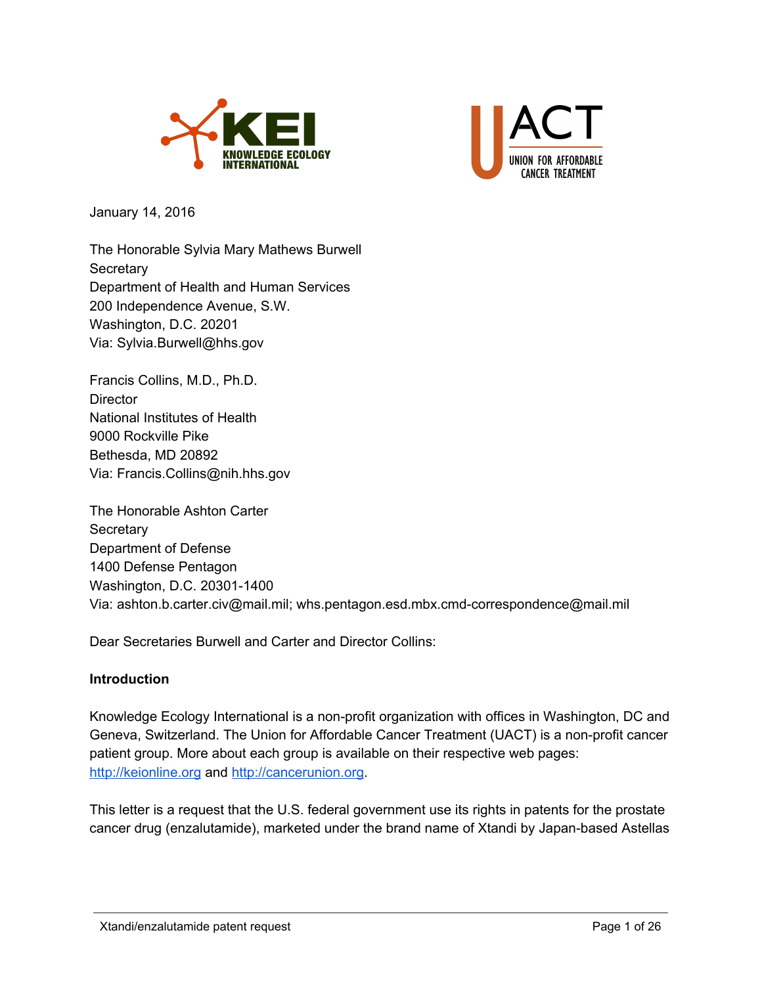



January 14, 2016

The Honorable Sylvia Mary Mathews Burwell **Secretary** Department of Health and Human Services 200 Independence Avenue, S.W. Washington, D.C. 20201 Via: Sylvia.Burwell@hhs.gov

Francis Collins, M.D., Ph.D. **Director** National Institutes of Health 9000 Rockville Pike Bethesda, MD 20892 Via: Francis.Collins@nih.hhs.gov

The Honorable Ashton Carter **Secretary** Department of Defense 1400 Defense Pentagon Washington, D.C. 20301-1400 Via: ashton.b.carter.civ@mail.mil; whs.pentagon.esd.mbx.cmd-correspondence@mail.mil

Dear Secretaries Burwell and Carter and Director Collins:

#### **Introduction**

Knowledge Ecology International is a non-profit organization with offices in Washington, DC and Geneva, Switzerland. The Union for Affordable Cancer Treatment (UACT) is a non-profit cancer patient group. More about each group is available on their respective web pages: [http://keionline.org](http://keionline.org/) and [http://cancerunion.org.](http://cancerunion.org/)

This letter is a request that the U.S. federal government use its rights in patents for the prostate cancer drug (enzalutamide), marketed under the brand name of Xtandi by Japan-based Astellas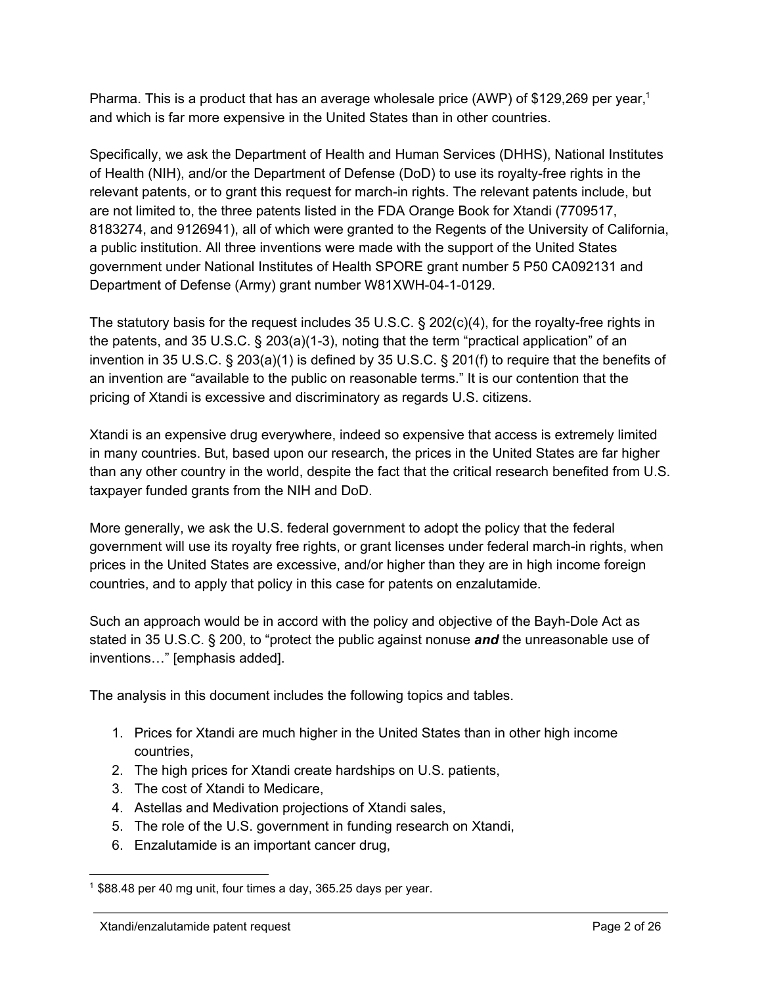Pharma. This is a product that has an average wholesale price (AWP) of \$129,269 per year,<sup>1</sup> and which is far more expensive in the United States than in other countries.

Specifically, we ask the Department of Health and Human Services (DHHS), National Institutes of Health (NIH), and/or the Department of Defense (DoD) to use its royalty-free rights in the relevant patents, or to grant this request for march-in rights. The relevant patents include, but are not limited to, the three patents listed in the FDA Orange Book for Xtandi (7709517, 8183274, and 9126941), all of which were granted to the Regents of the University of California, a public institution. All three inventions were made with the support of the United States government under National Institutes of Health SPORE grant number 5 P50 CA092131 and Department of Defense (Army) grant number W81XWH-04-1-0129.

The statutory basis for the request includes 35 U.S.C.  $\S$  202(c)(4), for the royalty-free rights in the patents, and 35 U.S.C.  $\S$  203(a)(1-3), noting that the term "practical application" of an invention in 35 U.S.C. § 203(a)(1) is defined by 35 U.S.C. § 201(f) to require that the benefits of an invention are "available to the public on reasonable terms." It is our contention that the pricing of Xtandi is excessive and discriminatory as regards U.S. citizens.

Xtandi is an expensive drug everywhere, indeed so expensive that access is extremely limited in many countries. But, based upon our research, the prices in the United States are far higher than any other country in the world, despite the fact that the critical research benefited from U.S. taxpayer funded grants from the NIH and DoD.

More generally, we ask the U.S. federal government to adopt the policy that the federal government will use its royalty free rights, or grant licenses under federal march-in rights, when prices in the United States are excessive, and/or higher than they are in high income foreign countries, and to apply that policy in this case for patents on enzalutamide.

Such an approach would be in accord with the policy and objective of the Bayh-Dole Act as stated in 35 U.S.C. § 200, to "protect the public against nonuse *and*the unreasonable use of inventions…" [emphasis added].

The analysis in this document includes the following topics and tables.

- 1. Prices for Xtandi are much higher in the United States than in other high income countries,
- 2. The high prices for Xtandi create hardships on U.S. patients,
- 3. The cost of Xtandi to Medicare,
- 4. Astellas and Medivation projections of Xtandi sales,
- 5. The role of the U.S. government in funding research on Xtandi,
- 6. Enzalutamide is an important cancer drug,

 $1$  \$88.48 per 40 mg unit, four times a day, 365.25 days per year.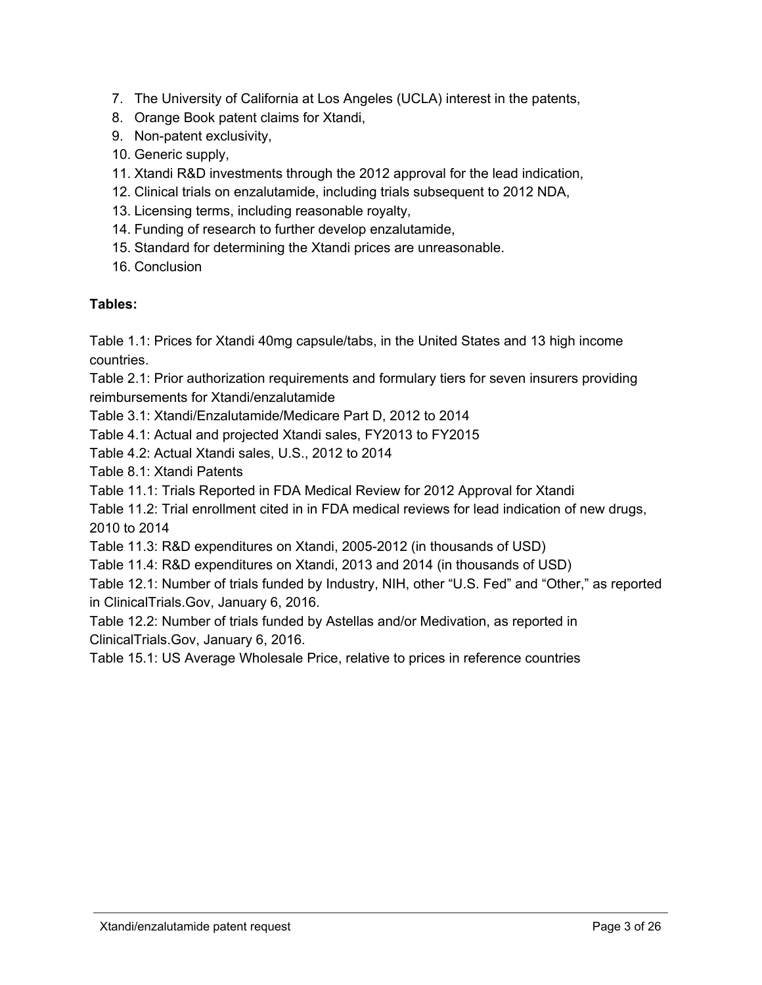- 7. The University of California at Los Angeles (UCLA) interest in the patents,
- 8. Orange Book patent claims for Xtandi,
- 9. Non-patent exclusivity,
- 10. Generic supply,
- 11. Xtandi R&D investments through the 2012 approval for the lead indication,
- 12. Clinical trials on enzalutamide, including trials subsequent to 2012 NDA,
- 13. Licensing terms, including reasonable royalty,
- 14. Funding of research to further develop enzalutamide,
- 15. Standard for determining the Xtandi prices are unreasonable.
- 16. Conclusion

# **Tables:**

Table 1.1: Prices for Xtandi 40mg capsule/tabs, in the United States and 13 high income countries.

Table 2.1: Prior authorization requirements and formulary tiers for seven insurers providing reimbursements for Xtandi/enzalutamide

Table 3.1: Xtandi/Enzalutamide/Medicare Part D, 2012 to 2014

Table 4.1: Actual and projected Xtandi sales, FY2013 to FY2015

Table 4.2: Actual Xtandi sales, U.S., 2012 to 2014

Table 8.1: Xtandi Patents

Table 11.1: Trials Reported in FDA Medical Review for 2012 Approval for Xtandi

Table 11.2: Trial enrollment cited in in FDA medical reviews for lead indication of new drugs, 2010 to 2014

Table 11.3: R&D expenditures on Xtandi, 2005-2012 (in thousands of USD)

Table 11.4: R&D expenditures on Xtandi, 2013 and 2014 (in thousands of USD)

Table 12.1: Number of trials funded by Industry, NIH, other "U.S. Fed" and "Other," as reported in ClinicalTrials.Gov, January 6, 2016.

Table 12.2: Number of trials funded by Astellas and/or Medivation, as reported in ClinicalTrials.Gov, January 6, 2016.

Table 15.1: US Average Wholesale Price, relative to prices in reference countries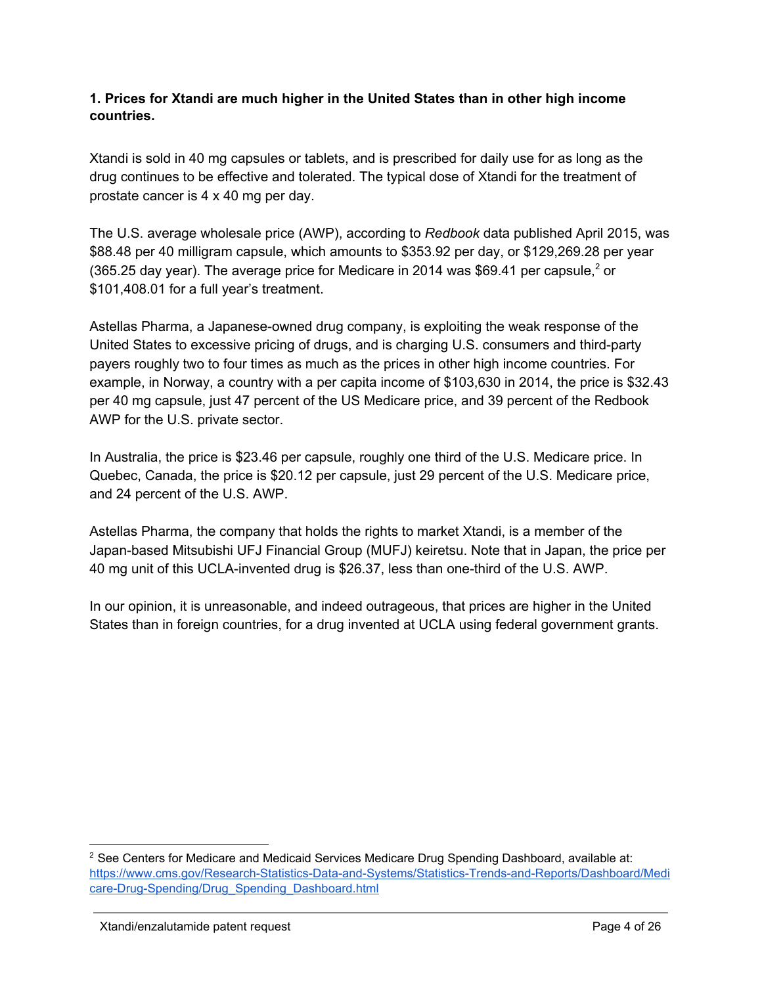### **1. Prices for Xtandi are much higher in the United States than in other high income countries.**

Xtandi is sold in 40 mg capsules or tablets, and is prescribed for daily use for as long as the drug continues to be effective and tolerated. The typical dose of Xtandi for the treatment of prostate cancer is 4 x 40 mg per day.

The U.S. average wholesale price (AWP), according to *Redbook* data published April 2015, was \$88.48 per 40 milligram capsule, which amounts to \$353.92 per day, or \$129,269.28 per year (365.25 day year). The average price for Medicare in 2014 was \$69.41 per capsule,<sup>2</sup> or \$101,408.01 for a full year's treatment.

Astellas Pharma, a Japanese-owned drug company, is exploiting the weak response of the United States to excessive pricing of drugs, and is charging U.S. consumers and third-party payers roughly two to four times as much as the prices in other high income countries. For example, in Norway, a country with a per capita income of \$103,630 in 2014, the price is \$32.43 per 40 mg capsule, just 47 percent of the US Medicare price, and 39 percent of the Redbook AWP for the U.S. private sector.

In Australia, the price is \$23.46 per capsule, roughly one third of the U.S. Medicare price. In Quebec, Canada, the price is \$20.12 per capsule, just 29 percent of the U.S. Medicare price, and 24 percent of the U.S. AWP.

Astellas Pharma, the company that holds the rights to market Xtandi, is a member of the Japan-based Mitsubishi UFJ Financial Group (MUFJ) keiretsu. Note that in Japan, the price per 40 mg unit of this UCLA-invented drug is \$26.37, less than one-third of the U.S. AWP.

In our opinion, it is unreasonable, and indeed outrageous, that prices are higher in the United States than in foreign countries, for a drug invented at UCLA using federal government grants.

<sup>&</sup>lt;sup>2</sup> See Centers for Medicare and Medicaid Services Medicare Drug Spending Dashboard, available at: https://www.cms.gov/Research-Statistics-Data-and-Systems/Statistics-Trends-and-Reports/Dashboard/Medi care-Drug-Spending/Drug\_Spending\_Dashboard.html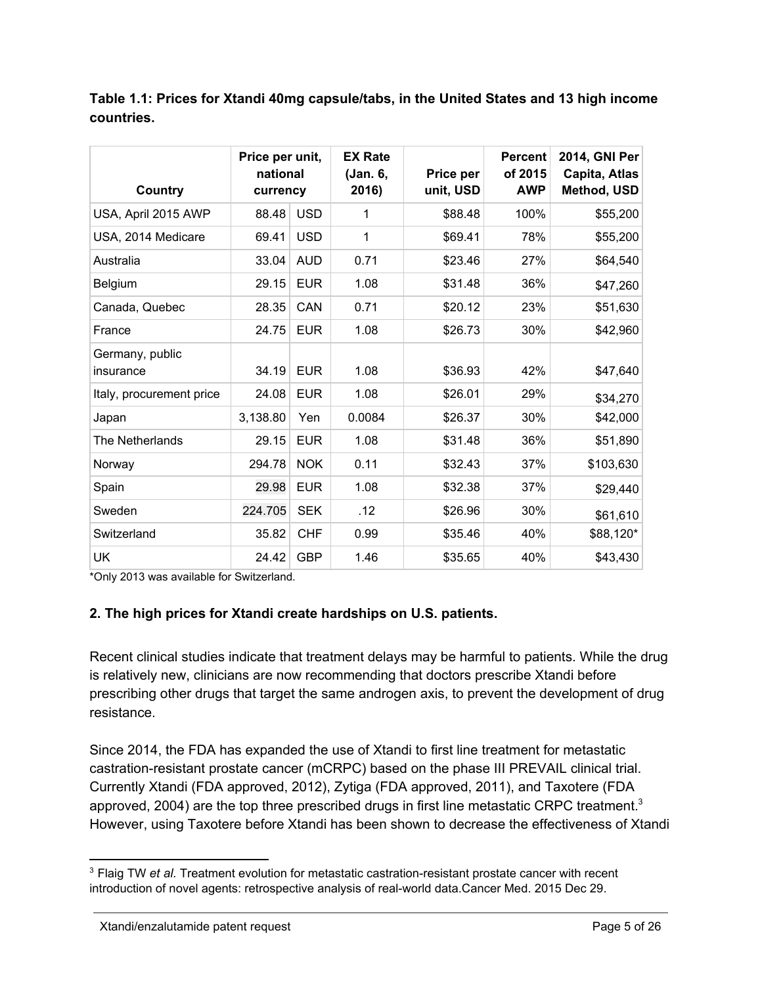**Table 1.1: Prices for Xtandi 40mg capsule/tabs, in the United States and 13 high income countries.**

| Country                      | Price per unit,<br>national<br>currency |            | <b>EX Rate</b><br>(Jan. 6,<br>2016) | Price per<br>unit, USD | <b>Percent</b><br>of 2015<br><b>AWP</b> | 2014, GNI Per<br>Capita, Atlas<br>Method, USD |
|------------------------------|-----------------------------------------|------------|-------------------------------------|------------------------|-----------------------------------------|-----------------------------------------------|
| USA, April 2015 AWP          | 88.48                                   | <b>USD</b> | 1                                   | \$88.48                | 100%                                    | \$55,200                                      |
| USA, 2014 Medicare           | 69.41                                   | <b>USD</b> | 1                                   | \$69.41                | 78%                                     | \$55,200                                      |
| Australia                    | 33.04                                   | <b>AUD</b> | 0.71                                | \$23.46                | 27%                                     | \$64,540                                      |
| Belgium                      | 29.15                                   | <b>EUR</b> | 1.08                                | \$31.48                | 36%                                     | \$47,260                                      |
| Canada, Quebec               | 28.35                                   | CAN        | 0.71                                | \$20.12                | 23%                                     | \$51,630                                      |
| France                       | 24.75                                   | <b>EUR</b> | 1.08                                | \$26.73                | 30%                                     | \$42,960                                      |
| Germany, public<br>insurance | 34.19                                   | <b>EUR</b> | 1.08                                | \$36.93                | 42%                                     | \$47,640                                      |
| Italy, procurement price     | 24.08                                   | <b>EUR</b> | 1.08                                | \$26.01                | 29%                                     | \$34,270                                      |
| Japan                        | 3,138.80                                | Yen        | 0.0084                              | \$26.37                | 30%                                     | \$42,000                                      |
| The Netherlands              | 29.15                                   | <b>EUR</b> | 1.08                                | \$31.48                | 36%                                     | \$51,890                                      |
| Norway                       | 294.78                                  | <b>NOK</b> | 0.11                                | \$32.43                | 37%                                     | \$103,630                                     |
| Spain                        | 29.98                                   | <b>EUR</b> | 1.08                                | \$32.38                | 37%                                     | \$29,440                                      |
| Sweden                       | 224.705                                 | <b>SEK</b> | .12                                 | \$26.96                | 30%                                     | \$61,610                                      |
| Switzerland                  | 35.82                                   | <b>CHF</b> | 0.99                                | \$35.46                | 40%                                     | \$88,120*                                     |
| <b>UK</b>                    | 24.42                                   | <b>GBP</b> | 1.46                                | \$35.65                | 40%                                     | \$43,430                                      |

\*Only 2013 was available for Switzerland.

# **2. The high prices for Xtandi create hardships on U.S. patients.**

Recent clinical studies indicate that treatment delays may be harmful to patients. While the drug is relatively new, clinicians are now recommending that doctors prescribe Xtandi before prescribing other drugs that target the same androgen axis, to prevent the development of drug resistance.

Since 2014, the FDA has expanded the use of Xtandi to first line treatment for metastatic castration-resistant prostate cancer (mCRPC) based on the phase III PREVAIL clinical trial. Currently Xtandi (FDA approved, 2012), Zytiga (FDA approved, 2011), and Taxotere (FDA approved, 2004) are the top three prescribed drugs in first line metastatic CRPC treatment.<sup>3</sup> However, using Taxotere before Xtandi has been shown to decrease the effectiveness of Xtandi

<sup>&</sup>lt;sup>3</sup> Flaig TW *et al.* Treatment evolution for metastatic castration-resistant prostate cancer with recent introduction of novel agents: retrospective analysis of real-world data.Cancer Med. 2015 Dec 29.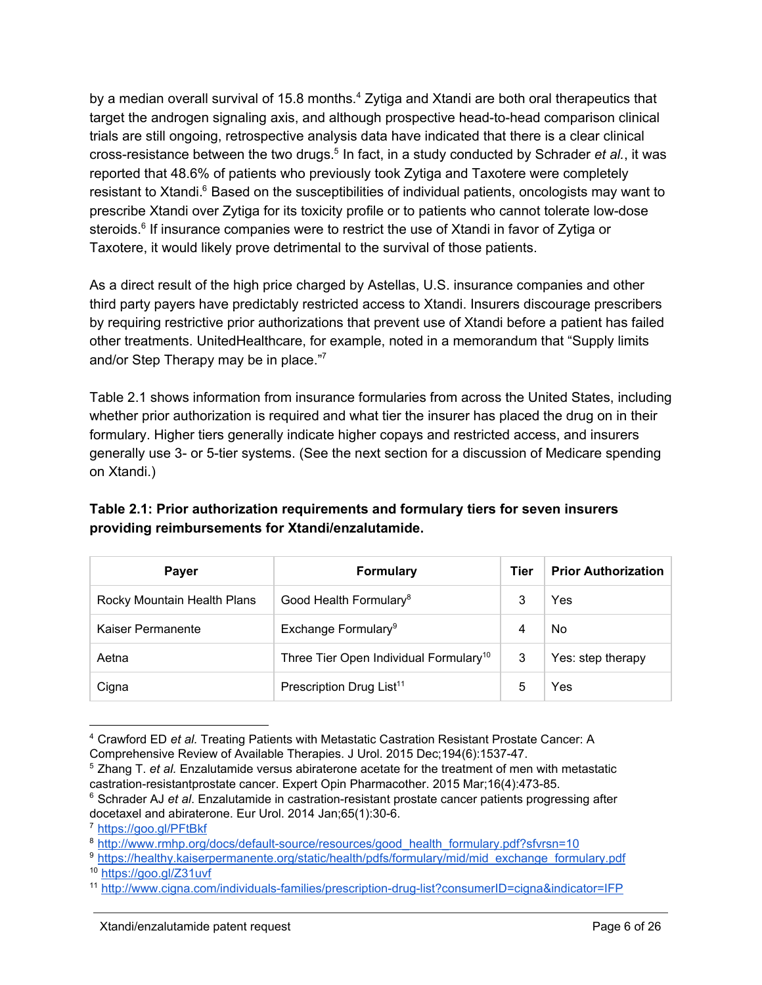by a median overall survival of 15.8 months. $4$  Zytiga and Xtandi are both oral therapeutics that target the androgen signaling axis, and although prospective head-to-head comparison clinical trials are still ongoing, retrospective analysis data have indicated that there is a clear clinical cross-resistance between the two drugs.<sup>5</sup> In fact, in a study conducted by Schrader *et al.*, it was reported that 48.6% of patients who previously took Zytiga and Taxotere were completely resistant to Xtandi.<sup>6</sup> Based on the susceptibilities of individual patients, oncologists may want to prescribe Xtandi over Zytiga for its toxicity profile or to patients who cannot tolerate low-dose steroids.<sup>6</sup> If insurance companies were to restrict the use of Xtandi in favor of Zytiga or Taxotere, it would likely prove detrimental to the survival of those patients.

As a direct result of the high price charged by Astellas, U.S. insurance companies and other third party payers have predictably restricted access to Xtandi. Insurers discourage prescribers by requiring restrictive prior authorizations that prevent use of Xtandi before a patient has failed other treatments. UnitedHealthcare, for example, noted in a memorandum that "Supply limits and/or Step Therapy may be in place."7

Table 2.1 shows information from insurance formularies from across the United States, including whether prior authorization is required and what tier the insurer has placed the drug on in their formulary. Higher tiers generally indicate higher copays and restricted access, and insurers generally use 3- or 5-tier systems. (See the next section for a discussion of Medicare spending on Xtandi.)

| Table 2.1: Prior authorization requirements and formulary tiers for seven insurers |  |
|------------------------------------------------------------------------------------|--|
| providing reimbursements for Xtandi/enzalutamide.                                  |  |

| <b>Paver</b>                | <b>Formulary</b>                                   |   | <b>Prior Authorization</b> |
|-----------------------------|----------------------------------------------------|---|----------------------------|
| Rocky Mountain Health Plans | Good Health Formulary <sup>8</sup>                 | 3 | Yes                        |
| Kaiser Permanente           | Exchange Formulary <sup>9</sup>                    | 4 | No                         |
| Aetna                       | Three Tier Open Individual Formulary <sup>10</sup> | 3 | Yes: step therapy          |
| Cigna                       | Prescription Drug List <sup>11</sup>               | 5 | Yes                        |

<sup>4</sup> Crawford ED *et al.* Treating Patients with Metastatic Castration Resistant Prostate Cancer: A Comprehensive Review of Available Therapies. J Urol. 2015 Dec;194(6):153747.

<sup>7</sup> <https://goo.gl/PFtBkf>

<sup>5</sup> Zhang T. *et al.* Enzalutamide versus abiraterone acetate for the treatment of men with metastatic castration-resistantprostate cancer. Expert Opin Pharmacother. 2015 Mar;16(4):473-85.

<sup>&</sup>lt;sup>6</sup> Schrader AJ *et al.* Enzalutamide in castration-resistant prostate cancer patients progressing after docetaxel and abiraterone. Eur Urol. 2014 Jan;65(1):30-6.

<sup>&</sup>lt;sup>8</sup> http://www.rmhp.org/docs/default-source/resources/good\_health\_formulary.pdf?sfvrsn=10

<sup>9</sup> [https://healthy.kaiserpermanente.org/static/health/pdfs/formulary/mid/mid\\_exchange\\_formulary.pdf](https://healthy.kaiserpermanente.org/static/health/pdfs/formulary/mid/mid_exchange_formulary.pdf)

<sup>10</sup> <https://goo.gl/Z31uvf>

<sup>&</sup>lt;sup>11</sup> http://www.cigna.com/individuals-families/prescription-drug-list?consumerID=cigna&indicator=IFP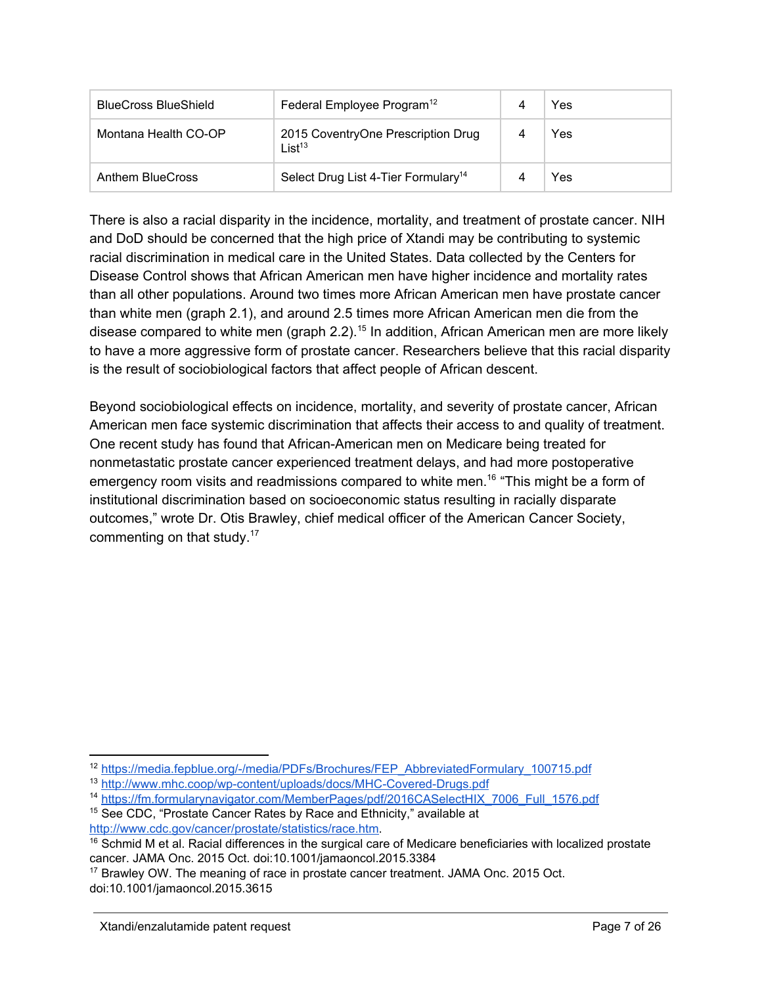| <b>BlueCross BlueShield</b> | Federal Employee Program <sup>12</sup>                   | Yes |
|-----------------------------|----------------------------------------------------------|-----|
| Montana Health CO-OP        | 2015 CoventryOne Prescription Drug<br>List <sup>13</sup> | Yes |
| Anthem BlueCross            | Select Drug List 4-Tier Formulary <sup>14</sup>          | Yes |

There is also a racial disparity in the incidence, mortality, and treatment of prostate cancer. NIH and DoD should be concerned that the high price of Xtandi may be contributing to systemic racial discrimination in medical care in the United States. Data collected by the Centers for Disease Control shows that African American men have higher incidence and mortality rates than all other populations. Around two times more African American men have prostate cancer than white men (graph 2.1), and around 2.5 times more African American men die from the disease compared to white men (graph 2.2).<sup>15</sup> In addition, African American men are more likely to have a more aggressive form of prostate cancer. Researchers believe that this racial disparity is the result of sociobiological factors that affect people of African descent.

Beyond sociobiological effects on incidence, mortality, and severity of prostate cancer, African American men face systemic discrimination that affects their access to and quality of treatment. One recent study has found that African-American men on Medicare being treated for nonmetastatic prostate cancer experienced treatment delays, and had more postoperative emergency room visits and readmissions compared to white men.<sup>16</sup> "This might be a form of institutional discrimination based on socioeconomic status resulting in racially disparate outcomes," wrote Dr. Otis Brawley, chief medical officer of the American Cancer Society, commenting on that study.<sup>17</sup>

<sup>&</sup>lt;sup>12</sup> https://media.fepblue.org/-/media/PDFs/Brochures/FEP\_AbbreviatedFormulary\_100715.pdf

<sup>&</sup>lt;sup>13</sup> http://www.mhc.coop/wp-content/uploads/docs/MHC-Covered-Drugs.pdf

<sup>&</sup>lt;sup>14</sup> [https://fm.formularynavigator.com/MemberPages/pdf/2016CASelectHIX\\_7006\\_Full\\_1576.pdf](https://fm.formularynavigator.com/MemberPages/pdf/2016CASelectHIX_7006_Full_1576.pdf)

<sup>&</sup>lt;sup>15</sup> See CDC, "Prostate Cancer Rates by Race and Ethnicity," available at <http://www.cdc.gov/cancer/prostate/statistics/race.htm>.

<sup>&</sup>lt;sup>16</sup> Schmid M et al. Racial differences in the surgical care of Medicare beneficiaries with localized prostate cancer. JAMA Onc. 2015 Oct. doi:10.1001/jamaoncol.2015.3384

<sup>17</sup> Brawley OW. The meaning of race in prostate cancer treatment. JAMA Onc. 2015 Oct. doi:10.1001/jamaoncol.2015.3615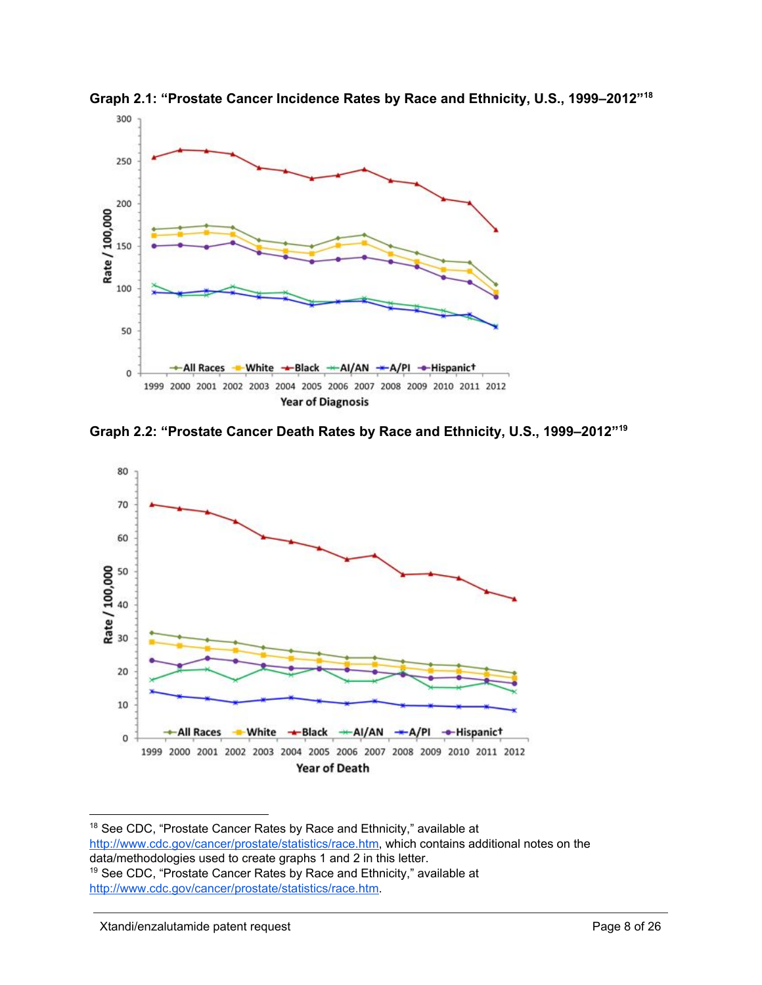

**Graph 2.1: "Prostate Cancer Incidence Rates by Race and Ethnicity, U.S., 1999–2012" 18**





<sup>18</sup> See CDC, "Prostate Cancer Rates by Race and Ethnicity," available at <http://www.cdc.gov/cancer/prostate/statistics/race.htm>, which contains additional notes on the data/methodologies used to create graphs 1 and 2 in this letter. <sup>19</sup> See CDC, "Prostate Cancer Rates by Race and Ethnicity," available at <http://www.cdc.gov/cancer/prostate/statistics/race.htm>.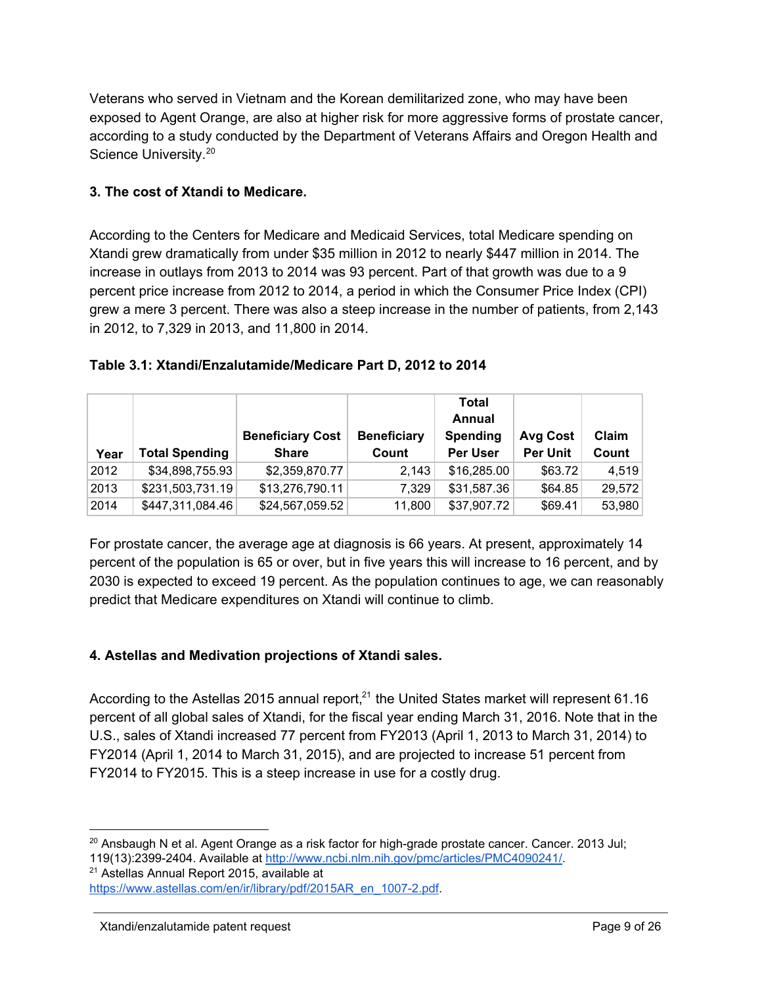Veterans who served in Vietnam and the Korean demilitarized zone, who may have been exposed to Agent Orange, are also at higher risk for more aggressive forms of prostate cancer, according to a study conducted by the Department of Veterans Affairs and Oregon Health and Science University.<sup>20</sup>

# **3. The cost of Xtandi to Medicare.**

According to the Centers for Medicare and Medicaid Services, total Medicare spending on Xtandi grew dramatically from under \$35 million in 2012 to nearly \$447 million in 2014. The increase in outlays from 2013 to 2014 was 93 percent. Part of that growth was due to a 9 percent price increase from 2012 to 2014, a period in which the Consumer Price Index (CPI) grew a mere 3 percent. There was also a steep increase in the number of patients, from 2,143 in 2012, to 7,329 in 2013, and 11,800 in 2014.

### **Table 3.1: Xtandi/Enzalutamide/Medicare Part D, 2012 to 2014**

|      |                       |                         |                    | <b>Total</b>    |                 |        |
|------|-----------------------|-------------------------|--------------------|-----------------|-----------------|--------|
|      |                       |                         |                    | <b>Annual</b>   |                 |        |
|      |                       | <b>Beneficiary Cost</b> | <b>Beneficiary</b> | <b>Spending</b> | <b>Avg Cost</b> | Claim  |
| Year | <b>Total Spending</b> | <b>Share</b>            | Count              | Per User        | <b>Per Unit</b> | Count  |
| 2012 | \$34,898,755.93       | \$2,359,870.77          | 2.143              | \$16,285.00     | \$63.72         | 4.519  |
| 2013 | \$231,503,731.19      | \$13,276,790.11         | 7.329              | \$31,587.36     | \$64.85         | 29,572 |
| 2014 | \$447,311,084.46      | \$24,567,059.52         | 11,800             | \$37,907.72     | \$69.41         | 53,980 |

For prostate cancer, the average age at diagnosis is 66 years. At present, approximately 14 percent of the population is 65 or over, but in five years this will increase to 16 percent, and by 2030 is expected to exceed 19 percent. As the population continues to age, we can reasonably predict that Medicare expenditures on Xtandi will continue to climb.

# **4. Astellas and Medivation projections of Xtandi sales.**

According to the Astellas 2015 annual report, $^{21}$  the United States market will represent 61.16 percent of all global sales of Xtandi, for the fiscal year ending March 31, 2016. Note that in the U.S., sales of Xtandi increased 77 percent from FY2013 (April 1, 2013 to March 31, 2014) to FY2014 (April 1, 2014 to March 31, 2015), and are projected to increase 51 percent from FY2014 to FY2015. This is a steep increase in use for a costly drug.

<sup>21</sup> Astellas Annual Report 2015, available at

 $20$  Ansbaugh N et al. Agent Orange as a risk factor for high-grade prostate cancer. Cancer. 2013 Jul; 119(13):23992404. Available at [http://www.ncbi.nlm.nih.gov/pmc/articles/PMC4090241/.](http://www.ncbi.nlm.nih.gov/pmc/articles/PMC4090241/)

https://www.astellas.com/en/ir/library/pdf/2015AR\_en\_1007-2.pdf.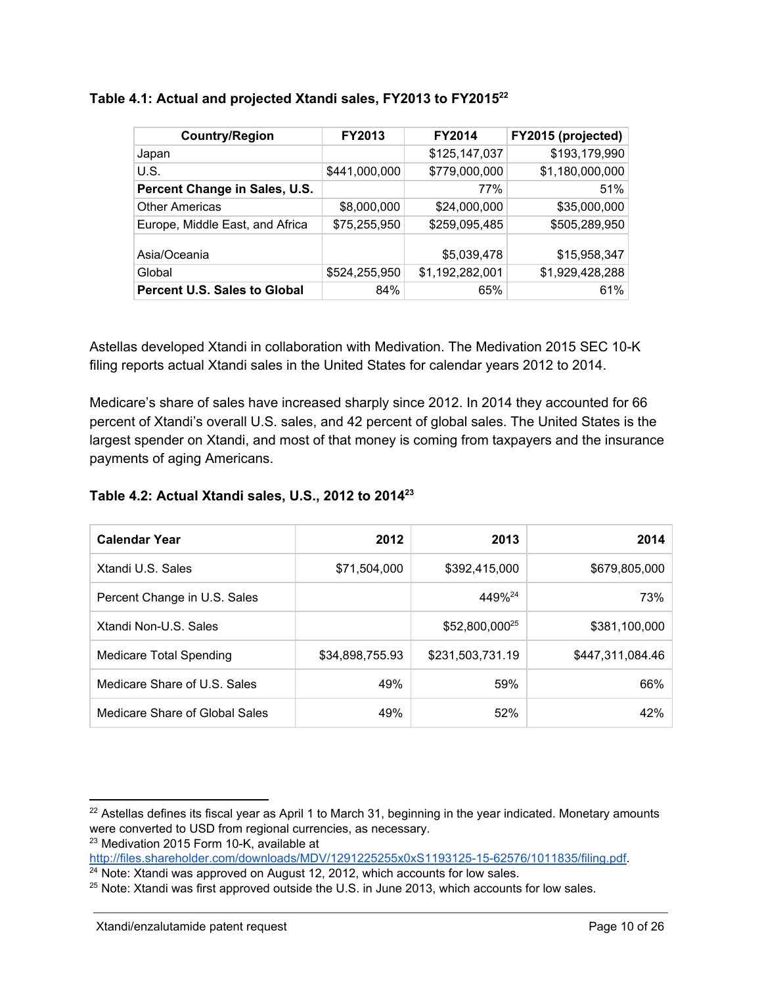| <b>Country/Region</b>               | <b>FY2013</b> | <b>FY2014</b>   | FY2015 (projected) |
|-------------------------------------|---------------|-----------------|--------------------|
| Japan                               |               | \$125,147,037   | \$193,179,990      |
| U.S.                                | \$441,000,000 | \$779,000,000   | \$1,180,000,000    |
| Percent Change in Sales, U.S.       |               | 77%             | 51%                |
| <b>Other Americas</b>               | \$8,000,000   | \$24,000,000    | \$35,000,000       |
| Europe, Middle East, and Africa     | \$75,255,950  | \$259,095,485   | \$505,289,950      |
| Asia/Oceania                        |               | \$5,039,478     | \$15,958,347       |
| Global                              | \$524,255,950 | \$1,192,282,001 | \$1,929,428,288    |
| <b>Percent U.S. Sales to Global</b> | 84%           | 65%             | 61%                |

#### **Table 4.1: Actual and projected Xtandi sales, FY2013 to FY2015 22**

Astellas developed Xtandi in collaboration with Medivation. The Medivation 2015 SEC 10-K filing reports actual Xtandi sales in the United States for calendar years 2012 to 2014.

Medicare's share of sales have increased sharply since 2012. In 2014 they accounted for 66 percent of Xtandi's overall U.S. sales, and 42 percent of global sales. The United States is the largest spender on Xtandi, and most of that money is coming from taxpayers and the insurance payments of aging Americans.

#### **Table 4.2: Actual Xtandi sales, U.S., 2012 to 2014 23**

| <b>Calendar Year</b>           | 2012            | 2013                       | 2014             |
|--------------------------------|-----------------|----------------------------|------------------|
| Xtandi U.S. Sales              | \$71,504,000    | \$392,415,000              | \$679,805,000    |
| Percent Change in U.S. Sales   |                 | 449% <sup>24</sup>         | 73%              |
| Xtandi Non-U.S. Sales          |                 | \$52,800,000 <sup>25</sup> | \$381,100,000    |
| <b>Medicare Total Spending</b> | \$34,898,755.93 | \$231,503,731.19           | \$447,311,084.46 |
| Medicare Share of U.S. Sales   | 49%             | 59%                        | 66%              |
| Medicare Share of Global Sales | 49%             | 52%                        | 42%              |

 $23$  Medivation 2015 Form 10-K, available at

<sup>&</sup>lt;sup>22</sup> Astellas defines its fiscal year as April 1 to March 31, beginning in the year indicated. Monetary amounts were converted to USD from regional currencies, as necessary.

http://files.shareholder.com/downloads/MDV/1291225255x0xS1193125-15-62576/1011835/filing.pdf.

 $24$  Note: Xtandi was approved on August 12, 2012, which accounts for low sales.

 $25$  Note: Xtandi was first approved outside the U.S. in June 2013, which accounts for low sales.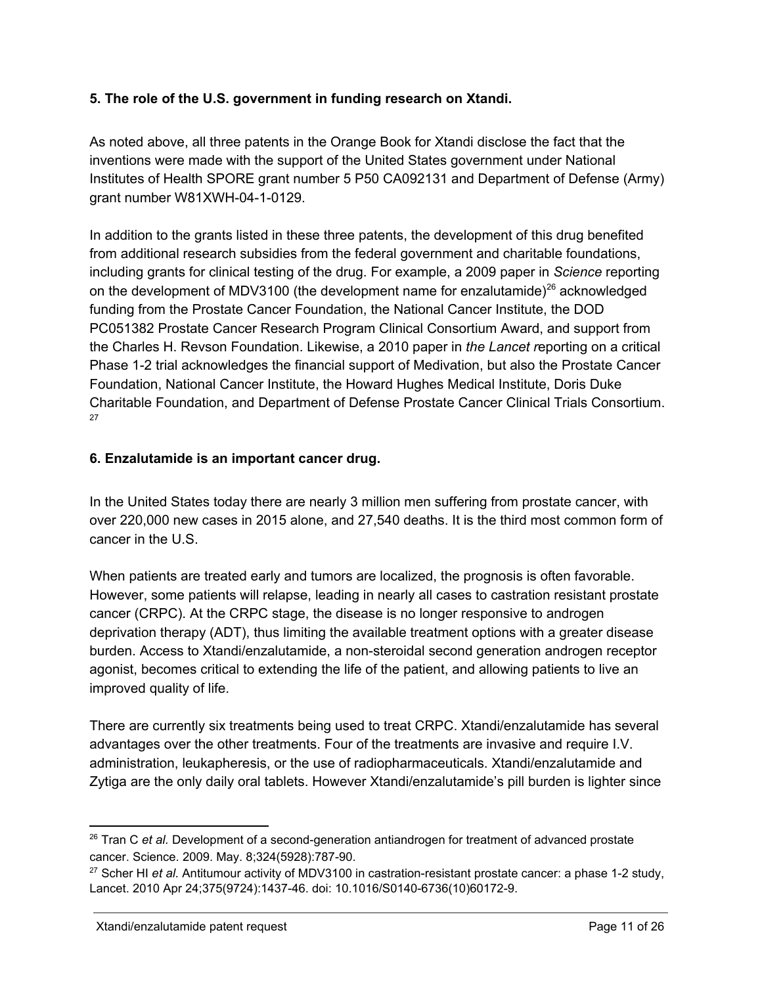## **5. The role of the U.S. government in funding research on Xtandi.**

As noted above, all three patents in the Orange Book for Xtandi disclose the fact that the inventions were made with the support of the United States government under National Institutes of Health SPORE grant number 5 P50 CA092131 and Department of Defense (Army) grant number W81XWH-04-1-0129.

In addition to the grants listed in these three patents, the development of this drug benefited from additional research subsidies from the federal government and charitable foundations, including grants for clinical testing of the drug. For example, a 2009 paper in *Science* reporting on the development of MDV3100 (the development name for enzalutamide) $^{26}$  acknowledged funding from the Prostate Cancer Foundation, the National Cancer Institute, the DOD PC051382 Prostate Cancer Research Program Clinical Consortium Award, and support from the Charles H. Revson Foundation. Likewise, a 2010 paper in *the Lancet r*eporting on a critical Phase 1-2 trial acknowledges the financial support of Medivation, but also the Prostate Cancer Foundation, National Cancer Institute, the Howard Hughes Medical Institute, Doris Duke Charitable Foundation, and Department of Defense Prostate Cancer Clinical Trials Consortium. 27

# **6. Enzalutamide is an important cancer drug.**

In the United States today there are nearly 3 million men suffering from prostate cancer, with over 220,000 new cases in 2015 alone, and 27,540 deaths. It is the third most common form of cancer in the U.S.

When patients are treated early and tumors are localized, the prognosis is often favorable. However, some patients will relapse, leading in nearly all cases to castration resistant prostate cancer (CRPC). At the CRPC stage, the disease is no longer responsive to androgen deprivation therapy (ADT), thus limiting the available treatment options with a greater disease burden. Access to Xtandi/enzalutamide, a nonsteroidal second generation androgen receptor agonist, becomes critical to extending the life of the patient, and allowing patients to live an improved quality of life.

There are currently six treatments being used to treat CRPC. Xtandi/enzalutamide has several advantages over the other treatments. Four of the treatments are invasive and require I.V. administration, leukapheresis, or the use of radiopharmaceuticals. Xtandi/enzalutamide and Zytiga are the only daily oral tablets. However Xtandi/enzalutamide's pill burden is lighter since

<sup>&</sup>lt;sup>26</sup> Tran C *et al.* Development of a second-generation antiandrogen for treatment of advanced prostate cancer. Science. 2009. May. 8:324(5928):787-90.

<sup>&</sup>lt;sup>27</sup> Scher HI *et al.* Antitumour activity of MDV3100 in castration-resistant prostate cancer: a phase 1-2 study, Lancet. 2010 Apr 24;375(9724):1437-46. doi: 10.1016/S0140-6736(10)60172-9.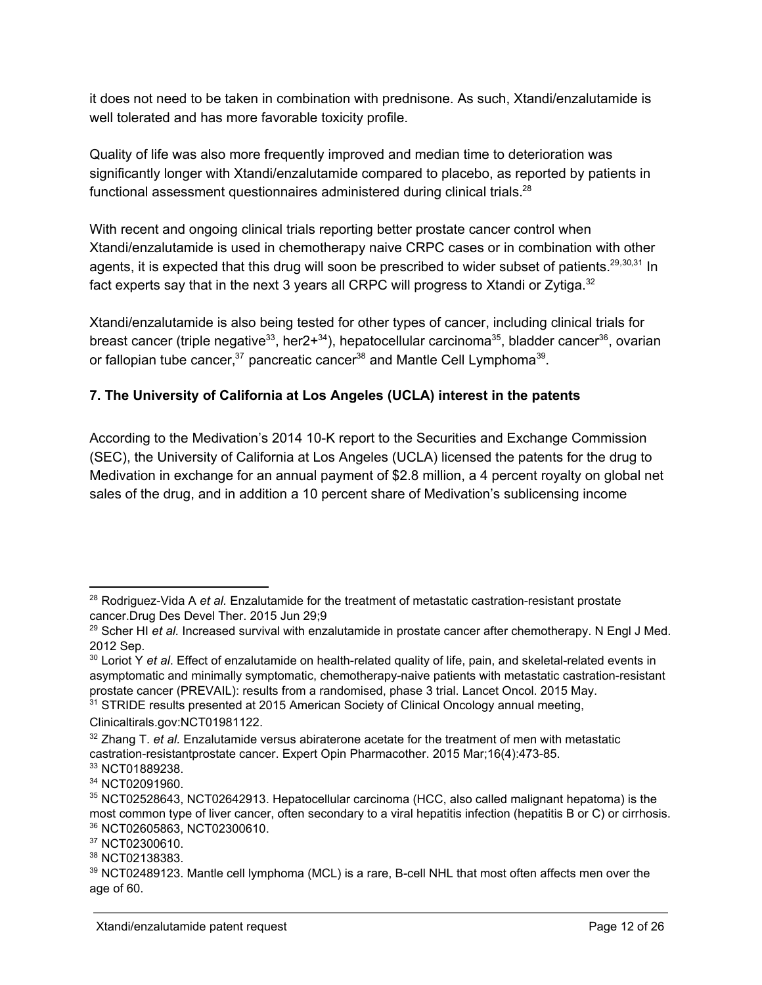it does not need to be taken in combination with prednisone. As such, Xtandi/enzalutamide is well tolerated and has more favorable toxicity profile.

Quality of life was also more frequently improved and median time to deterioration was significantly longer with Xtandi/enzalutamide compared to placebo, as reported by patients in functional assessment questionnaires administered during clinical trials.<sup>28</sup>

With recent and ongoing clinical trials reporting better prostate cancer control when Xtandi/enzalutamide is used in chemotherapy naive CRPC cases or in combination with other agents, it is expected that this drug will soon be prescribed to wider subset of patients.<sup>29,30,31</sup> In fact experts say that in the next 3 years all CRPC will progress to Xtandi or Zytiga. $^{32}$ 

Xtandi/enzalutamide is also being tested for other types of cancer, including clinical trials for breast cancer (triple negative<sup>33</sup>, her2+<sup>34</sup>), hepatocellular carcinoma<sup>35</sup>, bladder cancer<sup>36</sup>, ovarian or fallopian tube cancer,<sup>37</sup> pancreatic cancer<sup>38</sup> and Mantle Cell Lymphoma<sup>39</sup>.

# **7. The University of California at Los Angeles (UCLA) interest in the patents**

According to the Medivation's 2014 10-K report to the Securities and Exchange Commission (SEC), the University of California at Los Angeles (UCLA) licensed the patents for the drug to Medivation in exchange for an annual payment of \$2.8 million, a 4 percent royalty on global net sales of the drug, and in addition a 10 percent share of Medivation's sublicensing income

<sup>&</sup>lt;sup>28</sup> Rodriguez-Vida A et al. Enzalutamide for the treatment of metastatic castration-resistant prostate cancer.Drug Des Devel Ther. 2015 Jun 29;9

<sup>29</sup> Scher HI *et al.* Increased survival with enzalutamide in prostate cancer after chemotherapy. N Engl J Med. 2012 Sep.

<sup>&</sup>lt;sup>30</sup> Loriot Y *et al*. Effect of enzalutamide on health-related quality of life, pain, and skeletal-related events in asymptomatic and minimally symptomatic, chemotherapy-naive patients with metastatic castration-resistant prostate cancer (PREVAIL): results from a randomised, phase 3 trial. Lancet Oncol. 2015 May.

<sup>&</sup>lt;sup>31</sup> STRIDE results presented at 2015 American Society of Clinical Oncology annual meeting, Clinicaltirals.gov:NCT01981122.

<sup>32</sup> Zhang T. *et al.* Enzalutamide versus abiraterone acetate for the treatment of men with metastatic castration-resistantprostate cancer. Expert Opin Pharmacother. 2015 Mar;16(4):473-85. <sup>33</sup> NCT01889238.

<sup>34</sup> NCT02091960.

<sup>35</sup> NCT02528643, NCT02642913. Hepatocellular carcinoma (HCC, also called malignant hepatoma) is the most common type of liver cancer, often secondary to a viral hepatitis infection (hepatitis B or C) or cirrhosis. <sup>36</sup> NCT02605863, NCT02300610.

<sup>&</sup>lt;sup>37</sup> NCT02300610.

<sup>38</sup> NCT02138383.

<sup>&</sup>lt;sup>39</sup> NCT02489123. Mantle cell lymphoma (MCL) is a rare, B-cell NHL that most often affects men over the age of 60.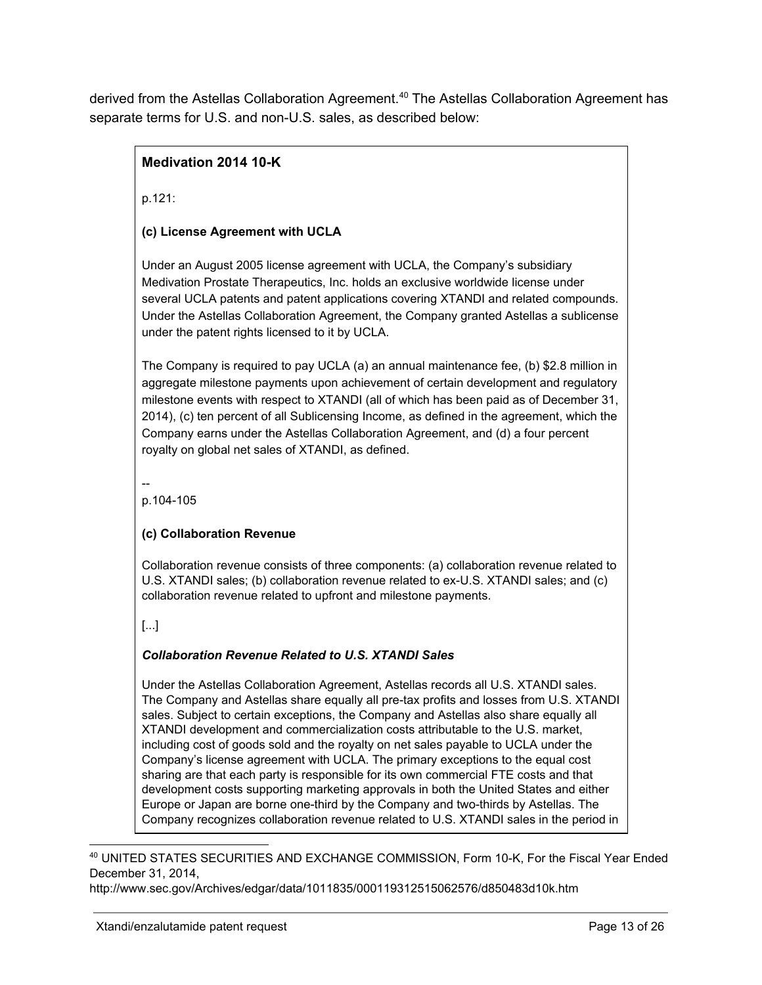derived from the Astellas Collaboration Agreement.<sup>40</sup> The Astellas Collaboration Agreement has separate terms for U.S. and non-U.S. sales, as described below:

# **Medivation 2014 10K**

p.121:

### **(c) License Agreement with UCLA**

Under an August 2005 license agreement with UCLA, the Company's subsidiary Medivation Prostate Therapeutics, Inc. holds an exclusive worldwide license under several UCLA patents and patent applications covering XTANDI and related compounds. Under the Astellas Collaboration Agreement, the Company granted Astellas a sublicense under the patent rights licensed to it by UCLA.

The Company is required to pay UCLA (a) an annual maintenance fee, (b) \$2.8 million in aggregate milestone payments upon achievement of certain development and regulatory milestone events with respect to XTANDI (all of which has been paid as of December 31, 2014), (c) ten percent of all Sublicensing Income, as defined in the agreement, which the Company earns under the Astellas Collaboration Agreement, and (d) a four percent royalty on global net sales of XTANDI, as defined.

--

p.104-105

#### **(c) Collaboration Revenue**

Collaboration revenue consists of three components: (a) collaboration revenue related to U.S. XTANDI sales; (b) collaboration revenue related to ex-U.S. XTANDI sales; and (c) collaboration revenue related to upfront and milestone payments.

[...]

### *Collaboration Revenue Related to U.S. XTANDI Sales*

Under the Astellas Collaboration Agreement, Astellas records all U.S. XTANDI sales. The Company and Astellas share equally all pre-tax profits and losses from U.S. XTANDI sales. Subject to certain exceptions, the Company and Astellas also share equally all XTANDI development and commercialization costs attributable to the U.S. market, including cost of goods sold and the royalty on net sales payable to UCLA under the Company's license agreement with UCLA. The primary exceptions to the equal cost sharing are that each party is responsible for its own commercial FTE costs and that development costs supporting marketing approvals in both the United States and either Europe or Japan are borne one-third by the Company and two-thirds by Astellas. The Company recognizes collaboration revenue related to U.S. XTANDI sales in the period in

40 UNITED STATES SECURITIES AND EXCHANGE COMMISSION, Form 10-K, For the Fiscal Year Ended December 31, 2014,

http://www.sec.gov/Archives/edgar/data/1011835/000119312515062576/d850483d10k.htm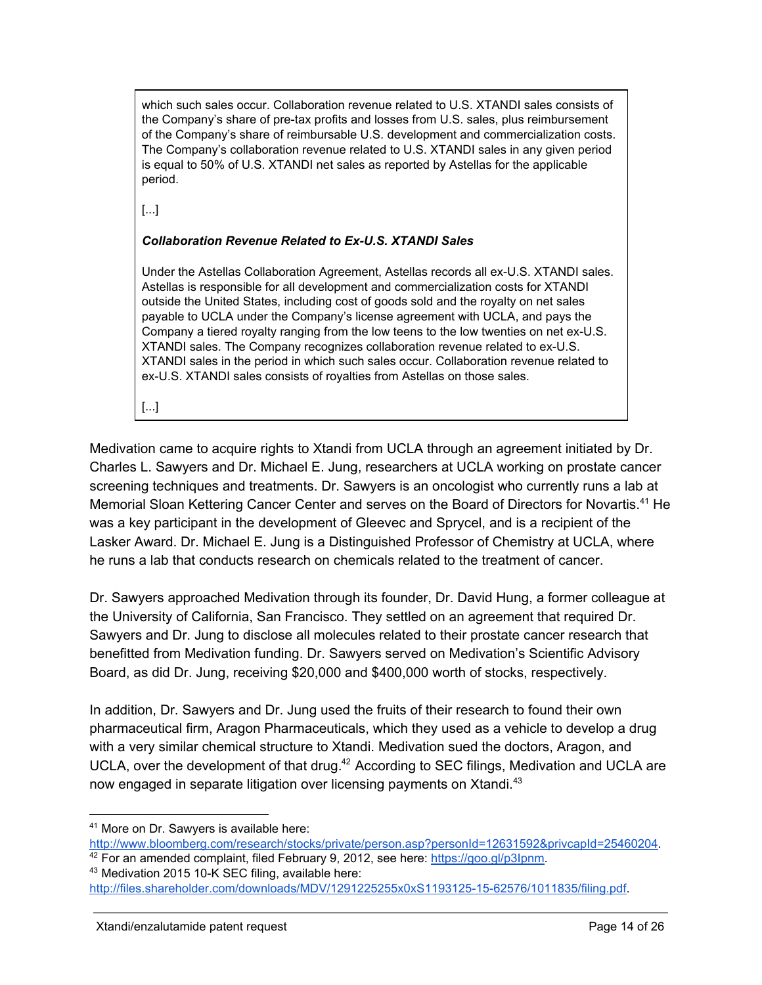which such sales occur. Collaboration revenue related to U.S. XTANDI sales consists of the Company's share of pre-tax profits and losses from U.S. sales, plus reimbursement of the Company's share of reimbursable U.S. development and commercialization costs. The Company's collaboration revenue related to U.S. XTANDI sales in any given period is equal to 50% of U.S. XTANDI net sales as reported by Astellas for the applicable period.

[...]

#### *Collaboration Revenue Related to ExU.S. XTANDI Sales*

Under the Astellas Collaboration Agreement, Astellas records all ex-U.S. XTANDI sales. Astellas is responsible for all development and commercialization costs for XTANDI outside the United States, including cost of goods sold and the royalty on net sales payable to UCLA under the Company's license agreement with UCLA, and pays the Company a tiered royalty ranging from the low teens to the low twenties on net ex-U.S. XTANDI sales. The Company recognizes collaboration revenue related to ex-U.S. XTANDI sales in the period in which such sales occur. Collaboration revenue related to ex-U.S. XTANDI sales consists of royalties from Astellas on those sales.

[...]

Medivation came to acquire rights to Xtandi from UCLA through an agreement initiated by Dr. Charles L. Sawyers and Dr. Michael E. Jung, researchers at UCLA working on prostate cancer screening techniques and treatments. Dr. Sawyers is an oncologist who currently runs a lab at Memorial Sloan Kettering Cancer Center and serves on the Board of Directors for Novartis.<sup>41</sup> He was a key participant in the development of Gleevec and Sprycel, and is a recipient of the Lasker Award. Dr. Michael E. Jung is a Distinguished Professor of Chemistry at UCLA, where he runs a lab that conducts research on chemicals related to the treatment of cancer.

Dr. Sawyers approached Medivation through its founder, Dr. David Hung, a former colleague at the University of California, San Francisco. They settled on an agreement that required Dr. Sawyers and Dr. Jung to disclose all molecules related to their prostate cancer research that benefitted from Medivation funding. Dr. Sawyers served on Medivation's Scientific Advisory Board, as did Dr. Jung, receiving \$20,000 and \$400,000 worth of stocks, respectively.

In addition, Dr. Sawyers and Dr. Jung used the fruits of their research to found their own pharmaceutical firm, Aragon Pharmaceuticals, which they used as a vehicle to develop a drug with a very similar chemical structure to Xtandi. Medivation sued the doctors, Aragon, and UCLA, over the development of that drug.<sup>42</sup> According to SEC filings, Medivation and UCLA are now engaged in separate litigation over licensing payments on Xtandi.<sup>43</sup>

<sup>41</sup> More on Dr. Sawyers is available here:

[http://www.bloomberg.com/research/stocks/private/person.asp?personId=12631592&privcapId=25460204.](http://www.bloomberg.com/research/stocks/private/person.asp?personId=12631592&privcapId=25460204) <sup>42</sup> For an amended complaint, filed February 9, 2012, see here: [https://goo.gl/p3Ipnm.](https://goo.gl/p3Ipnm)

<sup>&</sup>lt;sup>43</sup> Medivation 2015 10-K SEC filing, available here:

http://files.shareholder.com/downloads/MDV/1291225255x0xS1193125-15-62576/1011835/filing.pdf.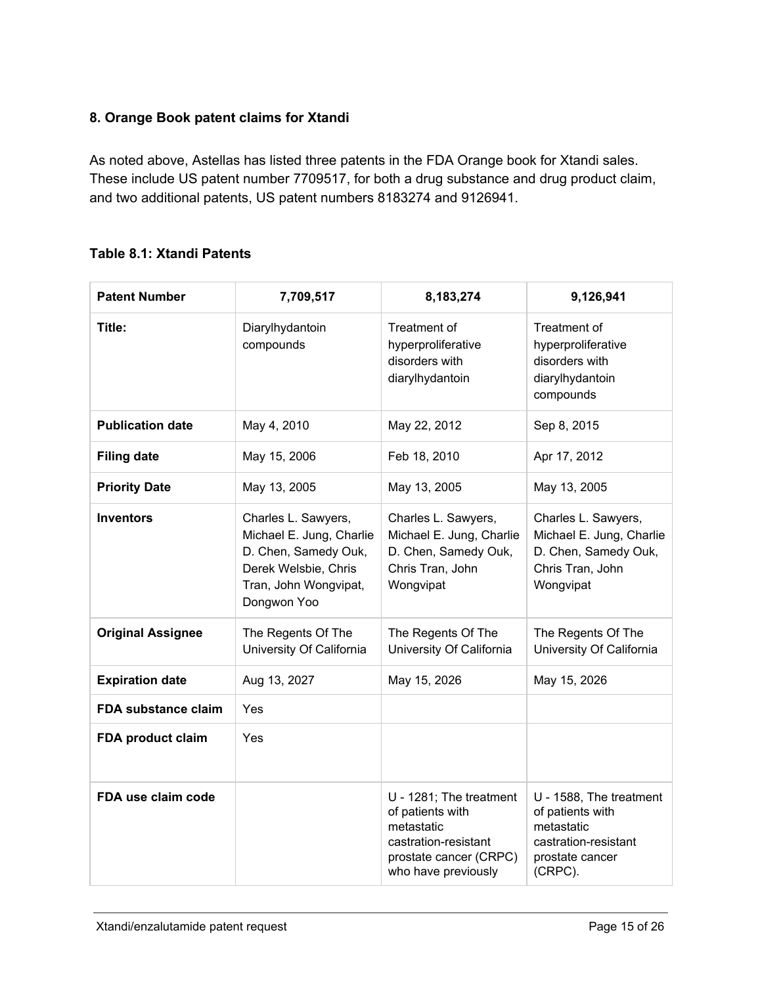# **8. Orange Book patent claims for Xtandi**

As noted above, Astellas has listed three patents in the FDA Orange book for Xtandi sales. These include US patent number 7709517, for both a drug substance and drug product claim, and two additional patents, US patent numbers 8183274 and 9126941.

### **Table 8.1: Xtandi Patents**

| <b>Patent Number</b>     | 7,709,517                                                                                                                               | 8,183,274                                                                                                                          | 9,126,941                                                                                                       |
|--------------------------|-----------------------------------------------------------------------------------------------------------------------------------------|------------------------------------------------------------------------------------------------------------------------------------|-----------------------------------------------------------------------------------------------------------------|
| Title:                   | Diarylhydantoin<br>compounds                                                                                                            | Treatment of<br>hyperproliferative<br>disorders with<br>diarylhydantoin                                                            | Treatment of<br>hyperproliferative<br>disorders with<br>diarylhydantoin<br>compounds                            |
| <b>Publication date</b>  | May 4, 2010                                                                                                                             | May 22, 2012                                                                                                                       | Sep 8, 2015                                                                                                     |
| <b>Filing date</b>       | May 15, 2006                                                                                                                            | Feb 18, 2010                                                                                                                       | Apr 17, 2012                                                                                                    |
| <b>Priority Date</b>     | May 13, 2005                                                                                                                            | May 13, 2005                                                                                                                       | May 13, 2005                                                                                                    |
| <b>Inventors</b>         | Charles L. Sawyers,<br>Michael E. Jung, Charlie<br>D. Chen, Samedy Ouk,<br>Derek Welsbie, Chris<br>Tran, John Wongvipat,<br>Dongwon Yoo | Charles L. Sawyers,<br>Michael E. Jung, Charlie<br>D. Chen, Samedy Ouk,<br>Chris Tran, John<br>Wongvipat                           | Charles L. Sawyers,<br>Michael E. Jung, Charlie<br>D. Chen, Samedy Ouk,<br>Chris Tran, John<br>Wongvipat        |
| <b>Original Assignee</b> | The Regents Of The<br>University Of California                                                                                          | The Regents Of The<br>University Of California                                                                                     | The Regents Of The<br>University Of California                                                                  |
| <b>Expiration date</b>   | Aug 13, 2027                                                                                                                            | May 15, 2026                                                                                                                       | May 15, 2026                                                                                                    |
| FDA substance claim      | Yes                                                                                                                                     |                                                                                                                                    |                                                                                                                 |
| FDA product claim        | Yes                                                                                                                                     |                                                                                                                                    |                                                                                                                 |
| FDA use claim code       |                                                                                                                                         | U - 1281; The treatment<br>of patients with<br>metastatic<br>castration-resistant<br>prostate cancer (CRPC)<br>who have previously | U - 1588, The treatment<br>of patients with<br>metastatic<br>castration-resistant<br>prostate cancer<br>(CRPC). |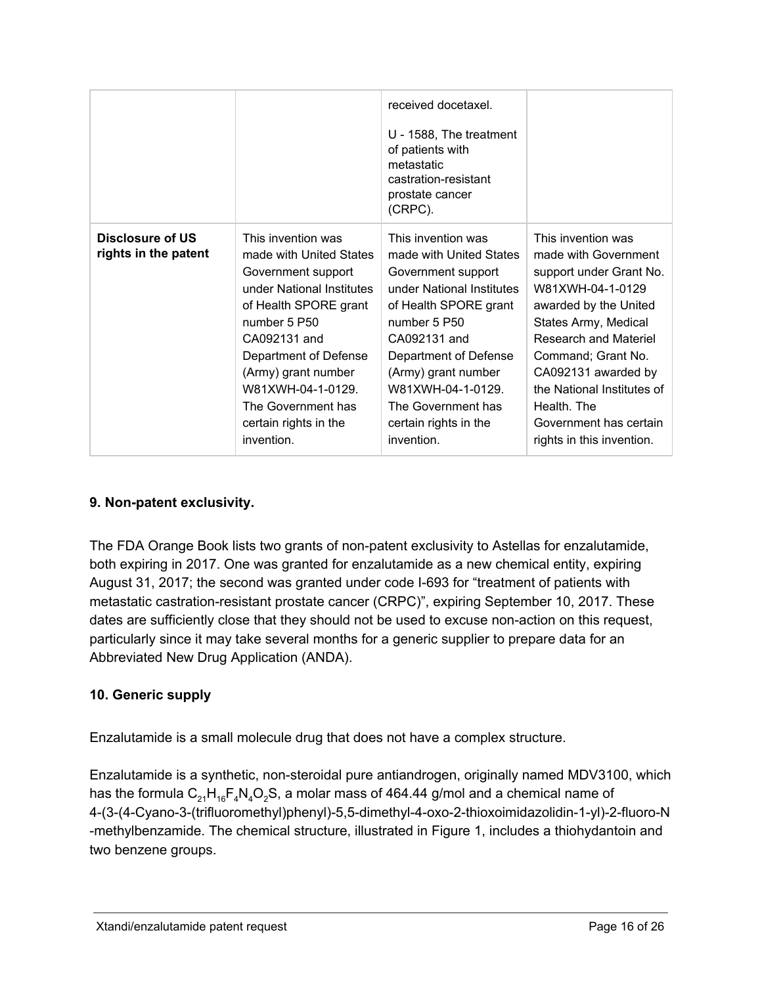|                                          |                                                                                                                                                                                                                                                                                            | received docetaxel.<br>$U - 1588$ , The treatment<br>of patients with<br>metastatic<br>castration-resistant<br>prostate cancer<br>(CRPC).                                                                                                                                                  |                                                                                                                                                                                                                                                                                                                      |
|------------------------------------------|--------------------------------------------------------------------------------------------------------------------------------------------------------------------------------------------------------------------------------------------------------------------------------------------|--------------------------------------------------------------------------------------------------------------------------------------------------------------------------------------------------------------------------------------------------------------------------------------------|----------------------------------------------------------------------------------------------------------------------------------------------------------------------------------------------------------------------------------------------------------------------------------------------------------------------|
| Disclosure of US<br>rights in the patent | This invention was<br>made with United States<br>Government support<br>under National Institutes<br>of Health SPORE grant<br>number 5 P50<br>CA092131 and<br>Department of Defense<br>(Army) grant number<br>W81XWH-04-1-0129<br>The Government has<br>certain rights in the<br>invention. | This invention was<br>made with United States<br>Government support<br>under National Institutes<br>of Health SPORE grant<br>number 5 P50<br>CA092131 and<br>Department of Defense<br>(Army) grant number<br>W81XWH-04-1-0129<br>The Government has<br>certain rights in the<br>invention. | This invention was<br>made with Government<br>support under Grant No.<br>W81XWH-04-1-0129<br>awarded by the United<br>States Army, Medical<br>Research and Materiel<br>Command; Grant No.<br>CA092131 awarded by<br>the National Institutes of<br>Health. The<br>Government has certain<br>rights in this invention. |

# **9.** Non-patent exclusivity.

The FDA Orange Book lists two grants of non-patent exclusivity to Astellas for enzalutamide, both expiring in 2017. One was granted for enzalutamide as a new chemical entity, expiring August 31, 2017; the second was granted under code I-693 for "treatment of patients with metastatic castration-resistant prostate cancer (CRPC)", expiring September 10, 2017. These dates are sufficiently close that they should not be used to excuse non-action on this request, particularly since it may take several months for a generic supplier to prepare data for an Abbreviated New Drug Application (ANDA).

# **10. Generic supply**

Enzalutamide is a small molecule drug that does not have a complex structure.

Enzalutamide is a synthetic, non-steroidal pure antiandrogen, originally named MDV3100, which has the formula  $C_{21}H_{16}F_{4}N_{4}O_{2}S$ , a molar mass of 464.44 g/mol and a chemical name of 4-(3-(4-Cyano-3-(trifluoromethyl)phenyl)-5,5-dimethyl-4-oxo-2-thioxoimidazolidin-1-yl)-2-fluoro-N methylbenzamide. The chemical structure, illustrated in Figure 1, includes a thiohydantoin and two benzene groups.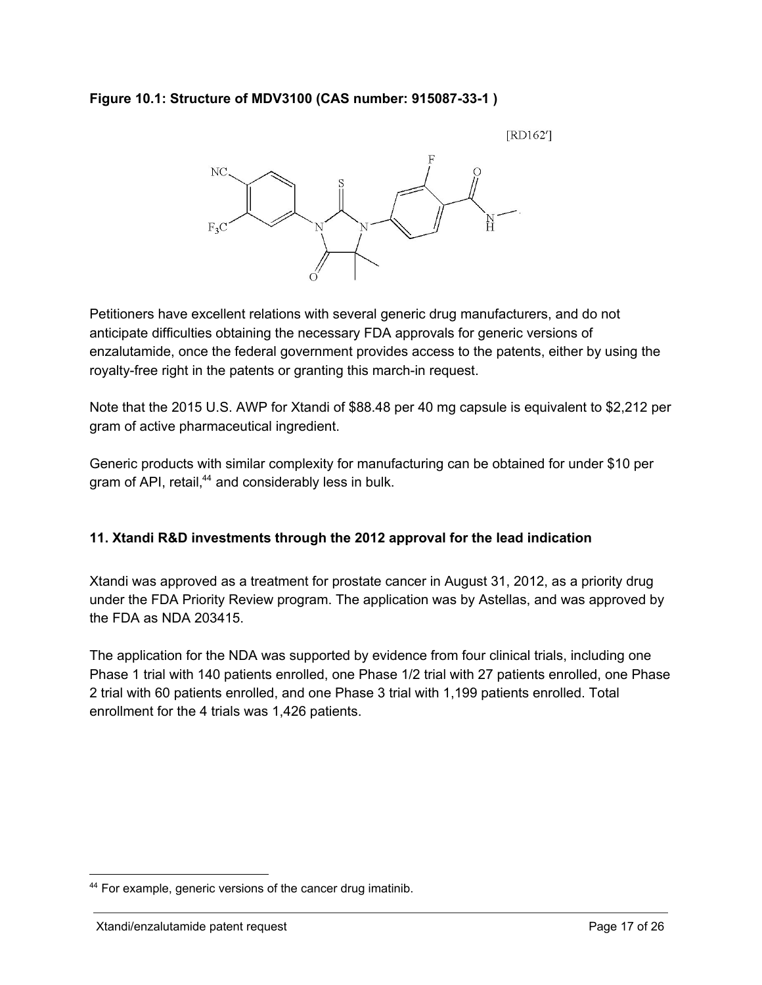### **Figure 10.1: Structure of MDV3100 (CAS number: 915087331 )**

[RD162']



Petitioners have excellent relations with several generic drug manufacturers, and do not anticipate difficulties obtaining the necessary FDA approvals for generic versions of enzalutamide, once the federal government provides access to the patents, either by using the royalty-free right in the patents or granting this march-in request.

Note that the 2015 U.S. AWP for Xtandi of \$88.48 per 40 mg capsule is equivalent to \$2,212 per gram of active pharmaceutical ingredient.

Generic products with similar complexity for manufacturing can be obtained for under \$10 per gram of API, retail,<sup>44</sup> and considerably less in bulk.

### **11. Xtandi R&D investments through the 2012 approval for the lead indication**

Xtandi was approved as a treatment for prostate cancer in August 31, 2012, as a priority drug under the FDA Priority Review program. The application was by Astellas, and was approved by the FDA as NDA 203415.

The application for the NDA was supported by evidence from four clinical trials, including one Phase 1 trial with 140 patients enrolled, one Phase 1/2 trial with 27 patients enrolled, one Phase 2 trial with 60 patients enrolled, and one Phase 3 trial with 1,199 patients enrolled. Total enrollment for the 4 trials was 1,426 patients.

<sup>&</sup>lt;sup>44</sup> For example, generic versions of the cancer drug imatinib.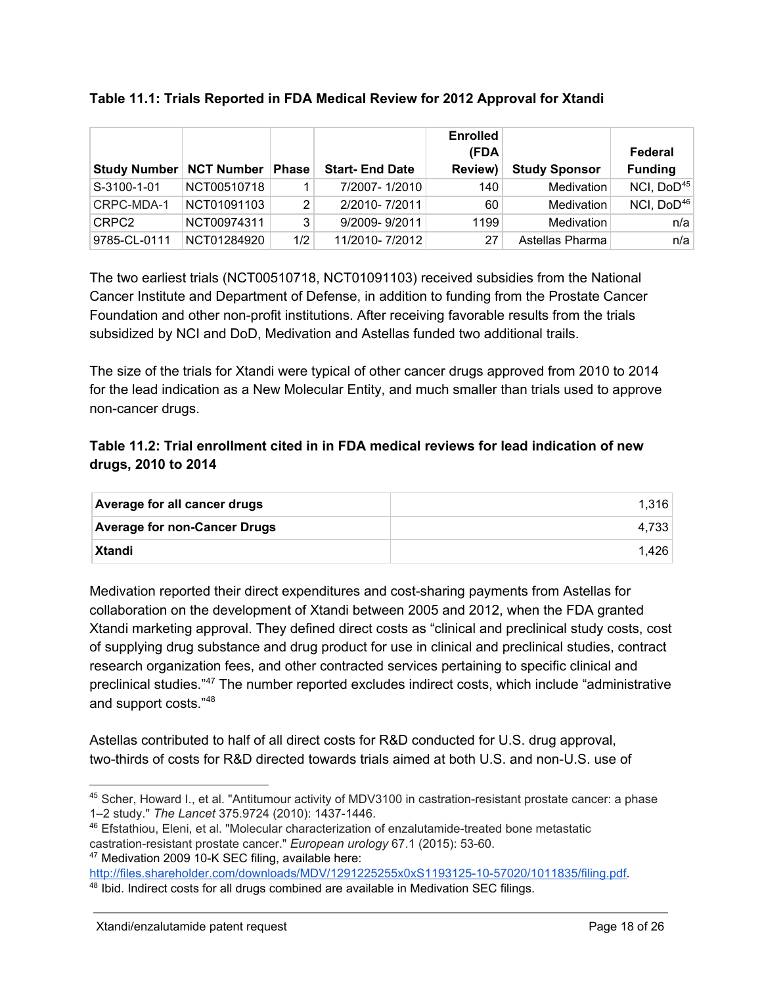|                           |             |       |                       | <b>Enrolled</b> |                      |                        |
|---------------------------|-------------|-------|-----------------------|-----------------|----------------------|------------------------|
|                           |             |       |                       | (FDA            |                      | Federal                |
| Study Number   NCT Number |             | Phase | <b>Start-End Date</b> | <b>Review)</b>  | <b>Study Sponsor</b> | <b>Funding</b>         |
| S-3100-1-01               | NCT00510718 |       | 7/2007-1/2010         | 140             | Medivation           | NCI, DoD <sup>45</sup> |
| CRPC-MDA-1                | NCT01091103 | 2     | 2/2010-7/2011         | 60              | Medivation           | NCI, DoD46             |
| CRPC2                     | NCT00974311 | 3     | 9/2009-9/2011         | 1199            | Medivation           | n/a                    |
| 9785-CL-0111              | NCT01284920 | 1/2   | 11/2010-7/2012        | 27              | Astellas Pharma      | n/a                    |

### **Table 11.1: Trials Reported in FDA Medical Review for 2012 Approval for Xtandi**

The two earliest trials (NCT00510718, NCT01091103) received subsidies from the National Cancer Institute and Department of Defense, in addition to funding from the Prostate Cancer Foundation and other non-profit institutions. After receiving favorable results from the trials subsidized by NCI and DoD, Medivation and Astellas funded two additional trails.

The size of the trials for Xtandi were typical of other cancer drugs approved from 2010 to 2014 for the lead indication as a New Molecular Entity, and much smaller than trials used to approve non-cancer drugs.

# **Table 11.2: Trial enrollment cited in in FDA medical reviews for lead indication of new drugs, 2010 to 2014**

| Average for all cancer drugs        | 1.316 |
|-------------------------------------|-------|
| <b>Average for non-Cancer Drugs</b> | 4.733 |
| <b>Xtandi</b>                       | 1.426 |

Medivation reported their direct expenditures and cost-sharing payments from Astellas for collaboration on the development of Xtandi between 2005 and 2012, when the FDA granted Xtandi marketing approval. They defined direct costs as "clinical and preclinical study costs, cost of supplying drug substance and drug product for use in clinical and preclinical studies, contract research organization fees, and other contracted services pertaining to specific clinical and preclinical studies."<sup>47</sup> The number reported excludes indirect costs, which include "administrative and support costs." 48

Astellas contributed to half of all direct costs for R&D conducted for U.S. drug approval, two-thirds of costs for R&D directed towards trials aimed at both U.S. and non-U.S. use of

```
http://files.shareholder.com/downloads/MDV/1291225255x0xS1193125-10-57020/1011835/filing.pdf.
```
<sup>&</sup>lt;sup>45</sup> Scher, Howard I., et al. "Antitumour activity of MDV3100 in castration-resistant prostate cancer: a phase 1-2 study." The Lancet 375.9724 (2010): 1437-1446.

<sup>&</sup>lt;sup>46</sup> Efstathiou, Eleni, et al. "Molecular characterization of enzalutamide-treated bone metastatic castration-resistant prostate cancer." *European urology* 67.1 (2015): 53-60. <sup>47</sup> Medivation 2009 10-K SEC filing, available here:

<sup>&</sup>lt;sup>48</sup> Ibid. Indirect costs for all drugs combined are available in Medivation SEC filings.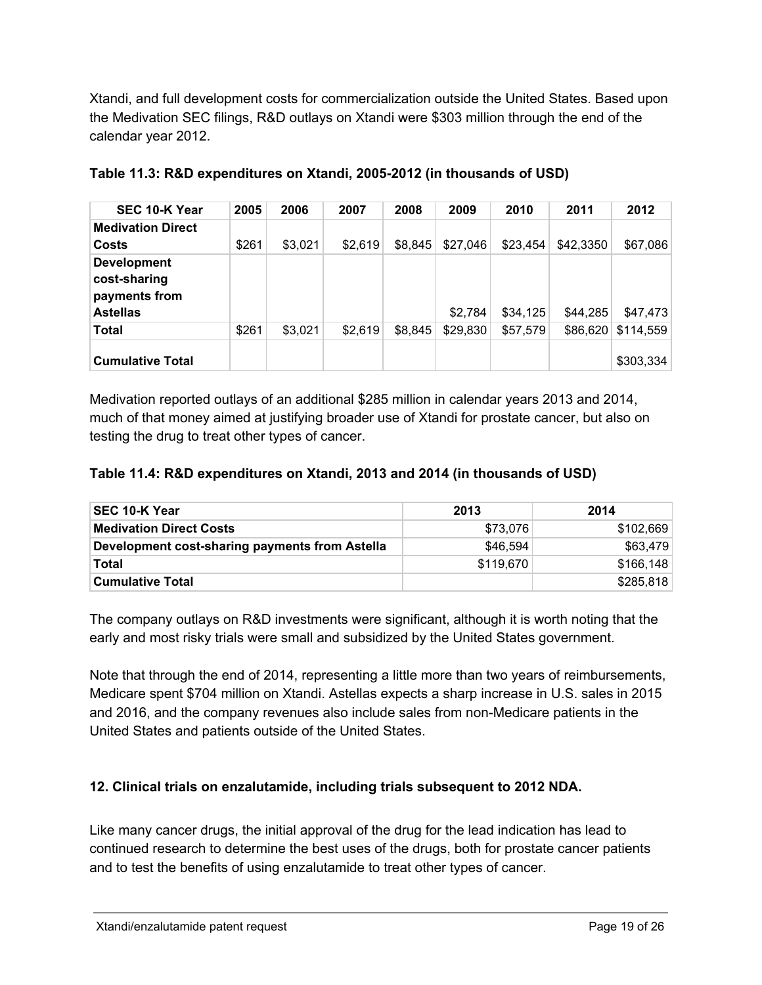Xtandi, and full development costs for commercialization outside the United States. Based upon the Medivation SEC filings, R&D outlays on Xtandi were \$303 million through the end of the calendar year 2012.

| SEC 10-K Year                                                          | 2005  | 2006    | 2007    | 2008    | 2009     | 2010     | 2011      | 2012      |
|------------------------------------------------------------------------|-------|---------|---------|---------|----------|----------|-----------|-----------|
| <b>Medivation Direct</b>                                               |       |         |         |         |          |          |           |           |
| Costs                                                                  | \$261 | \$3,021 | \$2,619 | \$8,845 | \$27,046 | \$23,454 | \$42,3350 | \$67,086  |
| <b>Development</b><br>cost-sharing<br>payments from<br><b>Astellas</b> |       |         |         |         | \$2,784  | \$34,125 | \$44,285  | \$47,473  |
| <b>Total</b>                                                           | \$261 | \$3,021 | \$2,619 | \$8,845 | \$29,830 | \$57,579 | \$86,620  | \$114.559 |
| <b>Cumulative Total</b>                                                |       |         |         |         |          |          |           | \$303,334 |

|  |  | Table 11.3: R&D expenditures on Xtandi, 2005-2012 (in thousands of USD) |  |  |
|--|--|-------------------------------------------------------------------------|--|--|
|--|--|-------------------------------------------------------------------------|--|--|

Medivation reported outlays of an additional \$285 million in calendar years 2013 and 2014, much of that money aimed at justifying broader use of Xtandi for prostate cancer, but also on testing the drug to treat other types of cancer.

### **Table 11.4: R&D expenditures on Xtandi, 2013 and 2014 (in thousands of USD)**

| SEC 10-K Year                                  | 2013      | 2014      |
|------------------------------------------------|-----------|-----------|
| <b>Medivation Direct Costs</b>                 | \$73.076  | \$102,669 |
| Development cost-sharing payments from Astella | \$46,594  | \$63,479  |
| Total                                          | \$119,670 | \$166.148 |
| <b>Cumulative Total</b>                        |           | \$285,818 |

The company outlays on R&D investments were significant, although it is worth noting that the early and most risky trials were small and subsidized by the United States government.

Note that through the end of 2014, representing a little more than two years of reimbursements, Medicare spent \$704 million on Xtandi. Astellas expects a sharp increase in U.S. sales in 2015 and 2016, and the company revenues also include sales from non-Medicare patients in the United States and patients outside of the United States.

### **12. Clinical trials on enzalutamide, including trials subsequent to 2012 NDA.**

Like many cancer drugs, the initial approval of the drug for the lead indication has lead to continued research to determine the best uses of the drugs, both for prostate cancer patients and to test the benefits of using enzalutamide to treat other types of cancer.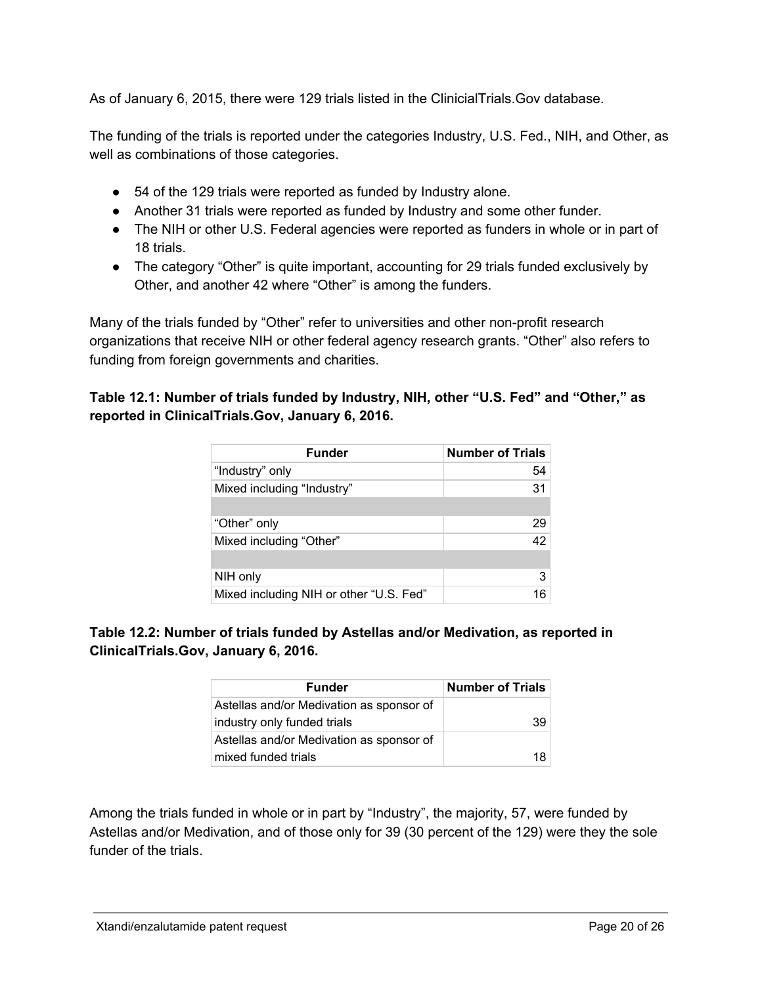As of January 6, 2015, there were 129 trials listed in the ClinicialTrials.Gov database.

The funding of the trials is reported under the categories Industry, U.S. Fed., NIH, and Other, as well as combinations of those categories.

- 54 of the 129 trials were reported as funded by Industry alone.
- Another 31 trials were reported as funded by Industry and some other funder.
- The NIH or other U.S. Federal agencies were reported as funders in whole or in part of 18 trials.
- The category "Other" is quite important, accounting for 29 trials funded exclusively by Other, and another 42 where "Other" is among the funders.

Many of the trials funded by "Other" refer to universities and other non-profit research organizations that receive NIH or other federal agency research grants. "Other" also refers to funding from foreign governments and charities.

### **Table 12.1: Number of trials funded by Industry, NIH, other "U.S. Fed" and "Other," as reported in ClinicalTrials.Gov, January 6, 2016.**

| <b>Funder</b>                           | <b>Number of Trials</b> |
|-----------------------------------------|-------------------------|
| "Industry" only                         | 54                      |
| Mixed including "Industry"              | 31                      |
|                                         |                         |
| "Other" only                            | 29                      |
| Mixed including "Other"                 | 42                      |
|                                         |                         |
| NIH only                                | 3                       |
| Mixed including NIH or other "U.S. Fed" |                         |

### **Table 12.2: Number of trials funded by Astellas and/or Medivation, as reported in ClinicalTrials.Gov, January 6, 2016.**

| <b>Funder</b>                            | <b>Number of Trials</b> |
|------------------------------------------|-------------------------|
| Astellas and/or Medivation as sponsor of |                         |
| industry only funded trials              | 39                      |
| Astellas and/or Medivation as sponsor of |                         |
| mixed funded trials                      | 18                      |

Among the trials funded in whole or in part by "Industry", the majority, 57, were funded by Astellas and/or Medivation, and of those only for 39 (30 percent of the 129) were they the sole funder of the trials.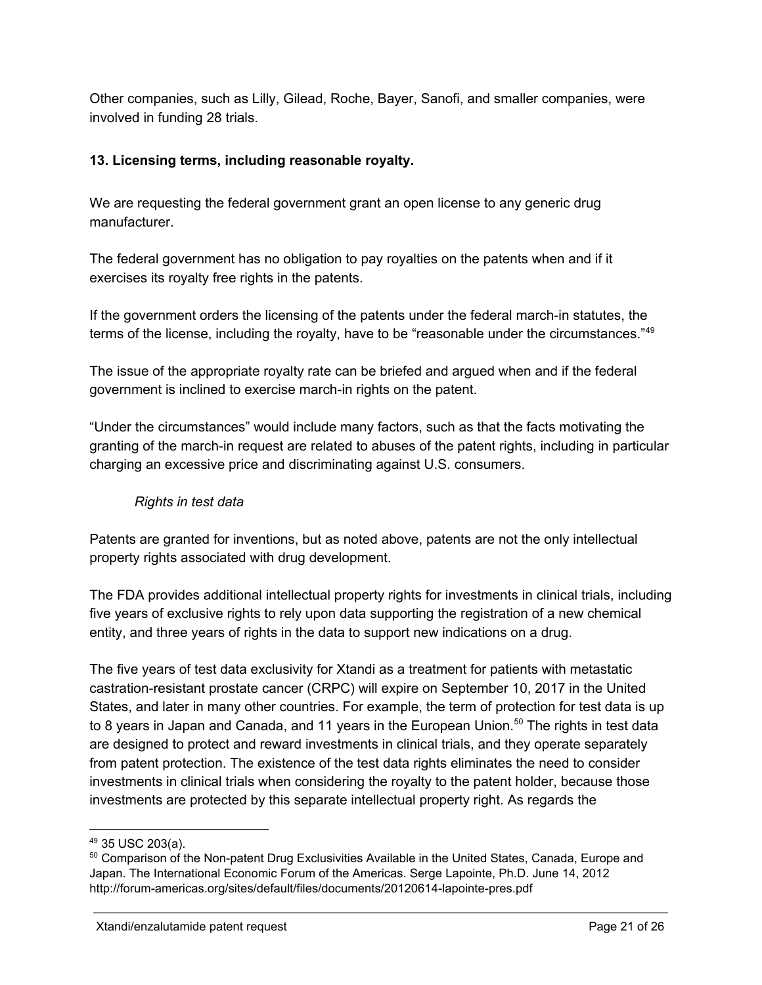Other companies, such as Lilly, Gilead, Roche, Bayer, Sanofi, and smaller companies, were involved in funding 28 trials.

## **13. Licensing terms, including reasonable royalty.**

We are requesting the federal government grant an open license to any generic drug manufacturer.

The federal government has no obligation to pay royalties on the patents when and if it exercises its royalty free rights in the patents.

If the government orders the licensing of the patents under the federal march-in statutes, the terms of the license, including the royalty, have to be "reasonable under the circumstances."<sup>49</sup>

The issue of the appropriate royalty rate can be briefed and argued when and if the federal government is inclined to exercise march-in rights on the patent.

"Under the circumstances" would include many factors, such as that the facts motivating the granting of the march-in request are related to abuses of the patent rights, including in particular charging an excessive price and discriminating against U.S. consumers.

## *Rights in test data*

Patents are granted for inventions, but as noted above, patents are not the only intellectual property rights associated with drug development.

The FDA provides additional intellectual property rights for investments in clinical trials, including five years of exclusive rights to rely upon data supporting the registration of a new chemical entity, and three years of rights in the data to support new indications on a drug.

The five years of test data exclusivity for Xtandi as a treatment for patients with metastatic castration-resistant prostate cancer (CRPC) will expire on September 10, 2017 in the United States, and later in many other countries. For example, the term of protection for test data is up to 8 years in Japan and Canada, and 11 years in the European Union.<sup>50</sup> The rights in test data are designed to protect and reward investments in clinical trials, and they operate separately from patent protection. The existence of the test data rights eliminates the need to consider investments in clinical trials when considering the royalty to the patent holder, because those investments are protected by this separate intellectual property right. As regards the

<sup>49</sup> 35 USC 203(a).

<sup>50</sup> Comparison of the Non-patent Drug Exclusivities Available in the United States, Canada, Europe and Japan. The International Economic Forum of the Americas. Serge Lapointe, Ph.D. June 14, 2012 http://forum-americas.org/sites/default/files/documents/20120614-lapointe-pres.pdf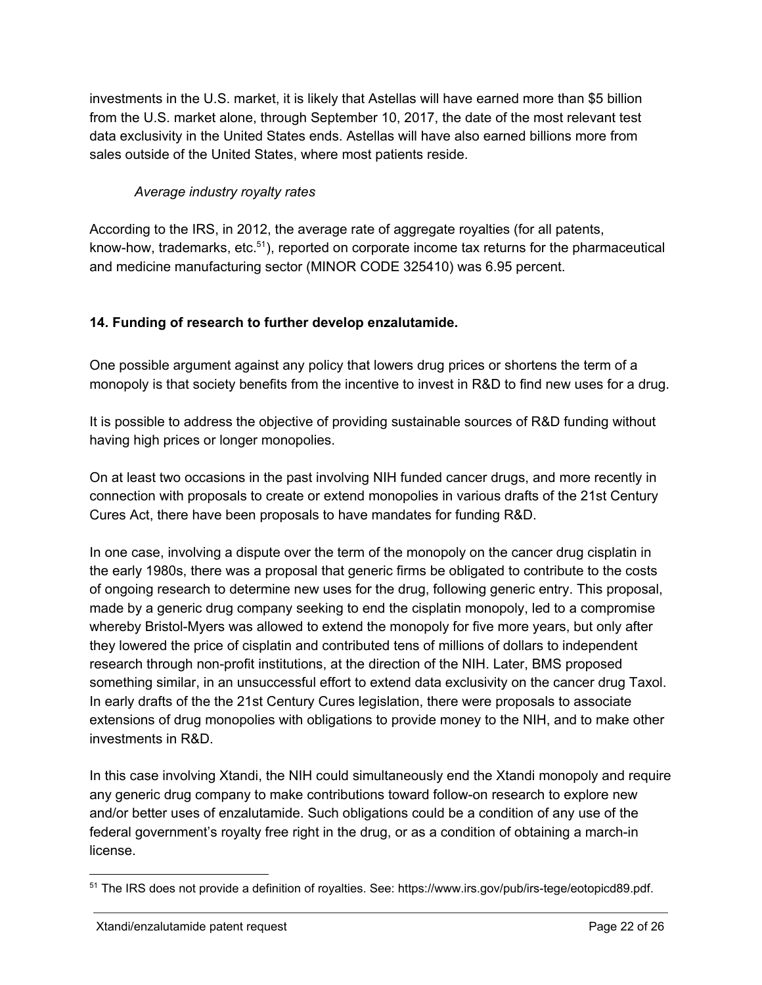investments in the U.S. market, it is likely that Astellas will have earned more than \$5 billion from the U.S. market alone, through September 10, 2017, the date of the most relevant test data exclusivity in the United States ends. Astellas will have also earned billions more from sales outside of the United States, where most patients reside.

# *Average industry royalty rates*

According to the IRS, in 2012, the average rate of aggregate royalties (for all patents, know-how, trademarks, etc.<sup>51</sup>), reported on corporate income tax returns for the pharmaceutical and medicine manufacturing sector (MINOR CODE 325410) was 6.95 percent.

# **14. Funding of research to further develop enzalutamide.**

One possible argument against any policy that lowers drug prices or shortens the term of a monopoly is that society benefits from the incentive to invest in R&D to find new uses for a drug.

It is possible to address the objective of providing sustainable sources of R&D funding without having high prices or longer monopolies.

On at least two occasions in the past involving NIH funded cancer drugs, and more recently in connection with proposals to create or extend monopolies in various drafts of the 21st Century Cures Act, there have been proposals to have mandates for funding R&D.

In one case, involving a dispute over the term of the monopoly on the cancer drug cisplatin in the early 1980s, there was a proposal that generic firms be obligated to contribute to the costs of ongoing research to determine new uses for the drug, following generic entry. This proposal, made by a generic drug company seeking to end the cisplatin monopoly, led to a compromise whereby Bristol-Myers was allowed to extend the monopoly for five more years, but only after they lowered the price of cisplatin and contributed tens of millions of dollars to independent research through non-profit institutions, at the direction of the NIH. Later, BMS proposed something similar, in an unsuccessful effort to extend data exclusivity on the cancer drug Taxol. In early drafts of the the 21st Century Cures legislation, there were proposals to associate extensions of drug monopolies with obligations to provide money to the NIH, and to make other investments in R&D.

In this case involving Xtandi, the NIH could simultaneously end the Xtandi monopoly and require any generic drug company to make contributions toward follow-on research to explore new and/or better uses of enzalutamide. Such obligations could be a condition of any use of the federal government's royalty free right in the drug, or as a condition of obtaining a march-in license.

<sup>&</sup>lt;sup>51</sup> The IRS does not provide a definition of royalties. See: https://www.irs.gov/pub/irs-tege/eotopicd89.pdf.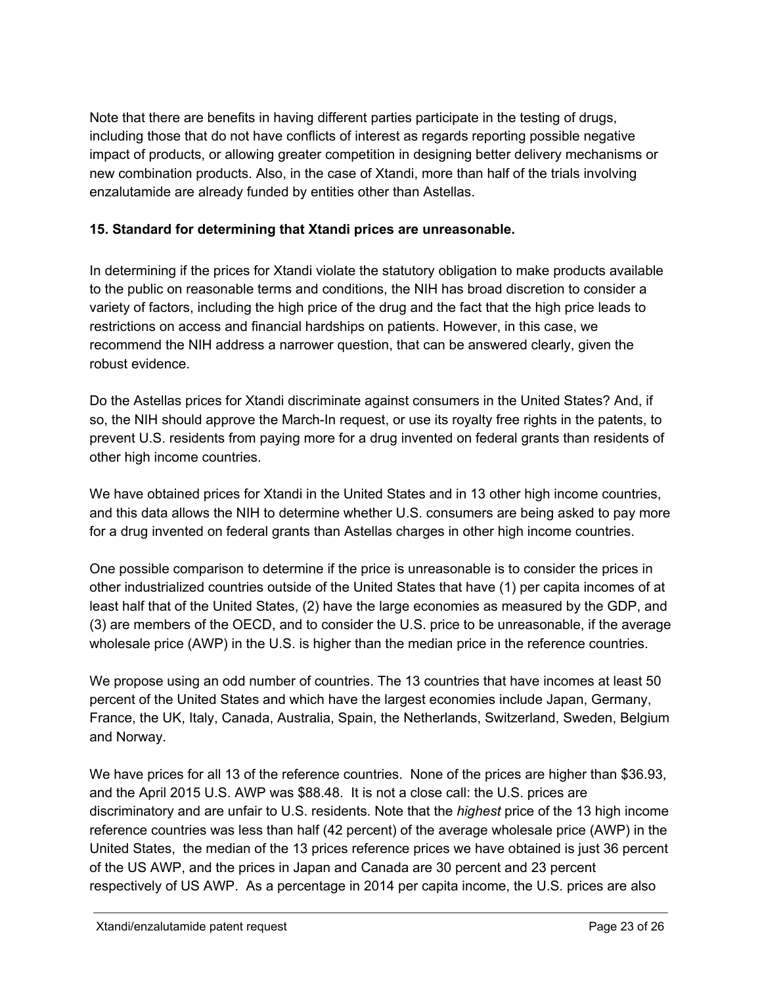Note that there are benefits in having different parties participate in the testing of drugs, including those that do not have conflicts of interest as regards reporting possible negative impact of products, or allowing greater competition in designing better delivery mechanisms or new combination products. Also, in the case of Xtandi, more than half of the trials involving enzalutamide are already funded by entities other than Astellas.

# **15. Standard for determining that Xtandi prices are unreasonable.**

In determining if the prices for Xtandi violate the statutory obligation to make products available to the public on reasonable terms and conditions, the NIH has broad discretion to consider a variety of factors, including the high price of the drug and the fact that the high price leads to restrictions on access and financial hardships on patients. However, in this case, we recommend the NIH address a narrower question, that can be answered clearly, given the robust evidence.

Do the Astellas prices for Xtandi discriminate against consumers in the United States? And, if so, the NIH should approve the March-In request, or use its royalty free rights in the patents, to prevent U.S. residents from paying more for a drug invented on federal grants than residents of other high income countries.

We have obtained prices for Xtandi in the United States and in 13 other high income countries, and this data allows the NIH to determine whether U.S. consumers are being asked to pay more for a drug invented on federal grants than Astellas charges in other high income countries.

One possible comparison to determine if the price is unreasonable is to consider the prices in other industrialized countries outside of the United States that have (1) per capita incomes of at least half that of the United States, (2) have the large economies as measured by the GDP, and (3) are members of the OECD, and to consider the U.S. price to be unreasonable, if the average wholesale price (AWP) in the U.S. is higher than the median price in the reference countries.

We propose using an odd number of countries. The 13 countries that have incomes at least 50 percent of the United States and which have the largest economies include Japan, Germany, France, the UK, Italy, Canada, Australia, Spain, the Netherlands, Switzerland, Sweden, Belgium and Norway.

We have prices for all 13 of the reference countries. None of the prices are higher than \$36.93, and the April 2015 U.S. AWP was \$88.48. It is not a close call: the U.S. prices are discriminatory and are unfair to U.S. residents. Note that the *highest* price of the 13 high income reference countries was less than half (42 percent) of the average wholesale price (AWP) in the United States, the median of the 13 prices reference prices we have obtained is just 36 percent of the US AWP, and the prices in Japan and Canada are 30 percent and 23 percent respectively of US AWP. As a percentage in 2014 per capita income, the U.S. prices are also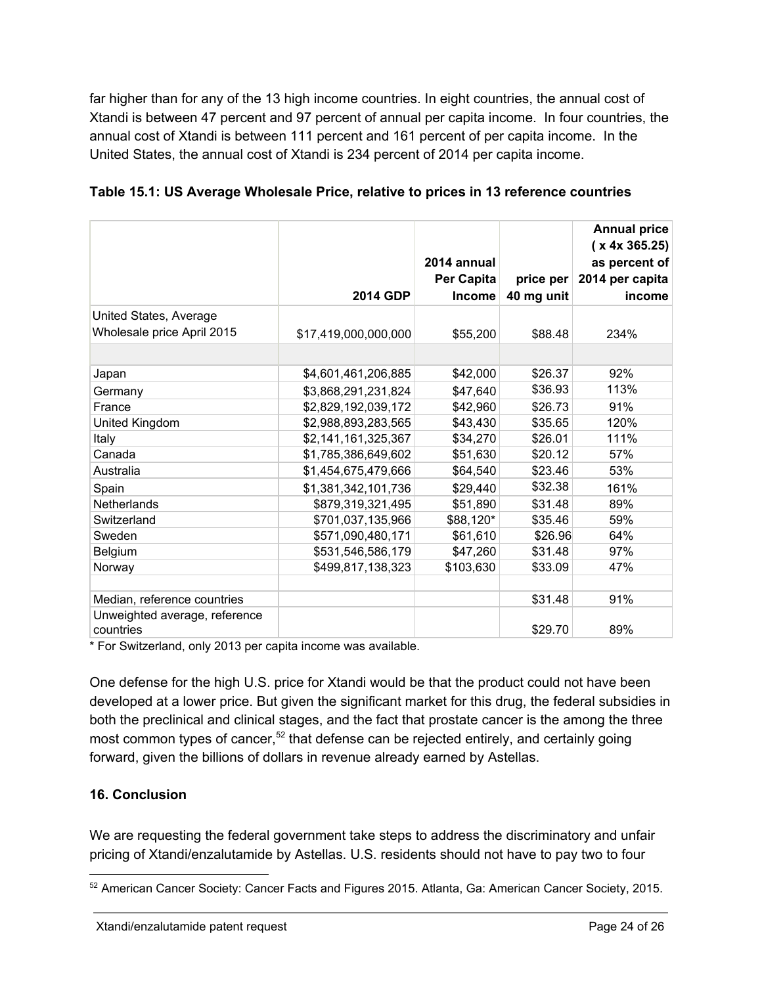far higher than for any of the 13 high income countries. In eight countries, the annual cost of Xtandi is between 47 percent and 97 percent of annual per capita income. In four countries, the annual cost of Xtandi is between 111 percent and 161 percent of per capita income. In the United States, the annual cost of Xtandi is 234 percent of 2014 per capita income.

|                                            | 2014 GDP             | 2014 annual<br>Per Capita<br><b>Income</b> | price per<br>40 mg unit | <b>Annual price</b><br>(x 4x 365.25)<br>as percent of<br>2014 per capita<br>income |
|--------------------------------------------|----------------------|--------------------------------------------|-------------------------|------------------------------------------------------------------------------------|
| United States, Average                     |                      |                                            |                         |                                                                                    |
| Wholesale price April 2015                 | \$17,419,000,000,000 | \$55,200                                   | \$88.48                 | 234%                                                                               |
|                                            |                      |                                            |                         |                                                                                    |
| Japan                                      | \$4,601,461,206,885  | \$42,000                                   | \$26.37                 | 92%                                                                                |
| Germany                                    | \$3,868,291,231,824  | \$47,640                                   | \$36.93                 | 113%                                                                               |
| France                                     | \$2,829,192,039,172  | \$42,960                                   | \$26.73                 | 91%                                                                                |
| United Kingdom                             | \$2,988,893,283,565  | \$43,430                                   | \$35.65                 | 120%                                                                               |
| Italy                                      | \$2,141,161,325,367  | \$34,270                                   | \$26.01                 | 111%                                                                               |
| Canada                                     | \$1,785,386,649,602  | \$51,630                                   | \$20.12                 | 57%                                                                                |
| Australia                                  | \$1,454,675,479,666  | \$64,540                                   | \$23.46                 | 53%                                                                                |
| Spain                                      | \$1,381,342,101,736  | \$29,440                                   | \$32.38                 | 161%                                                                               |
| Netherlands                                | \$879,319,321,495    | \$51,890                                   | \$31.48                 | 89%                                                                                |
| Switzerland                                | \$701,037,135,966    | \$88,120*                                  | \$35.46                 | 59%                                                                                |
| Sweden                                     | \$571,090,480,171    | \$61,610                                   | \$26.96                 | 64%                                                                                |
| Belgium                                    | \$531,546,586,179    | \$47,260                                   | \$31.48                 | 97%                                                                                |
| Norway                                     | \$499,817,138,323    | \$103,630                                  | \$33.09                 | 47%                                                                                |
|                                            |                      |                                            |                         |                                                                                    |
| Median, reference countries                |                      |                                            | \$31.48                 | 91%                                                                                |
| Unweighted average, reference<br>countries |                      |                                            | \$29.70                 | 89%                                                                                |

| Table 15.1: US Average Wholesale Price, relative to prices in 13 reference countries |
|--------------------------------------------------------------------------------------|
|--------------------------------------------------------------------------------------|

\* For Switzerland, only 2013 per capita income was available.

One defense for the high U.S. price for Xtandi would be that the product could not have been developed at a lower price. But given the significant market for this drug, the federal subsidies in both the preclinical and clinical stages, and the fact that prostate cancer is the among the three most common types of cancer, $52$  that defense can be rejected entirely, and certainly going forward, given the billions of dollars in revenue already earned by Astellas.

### **16. Conclusion**

We are requesting the federal government take steps to address the discriminatory and unfair pricing of Xtandi/enzalutamide by Astellas. U.S. residents should not have to pay two to four

<sup>52</sup> American Cancer Society: Cancer Facts and Figures 2015. Atlanta, Ga: American Cancer Society, 2015.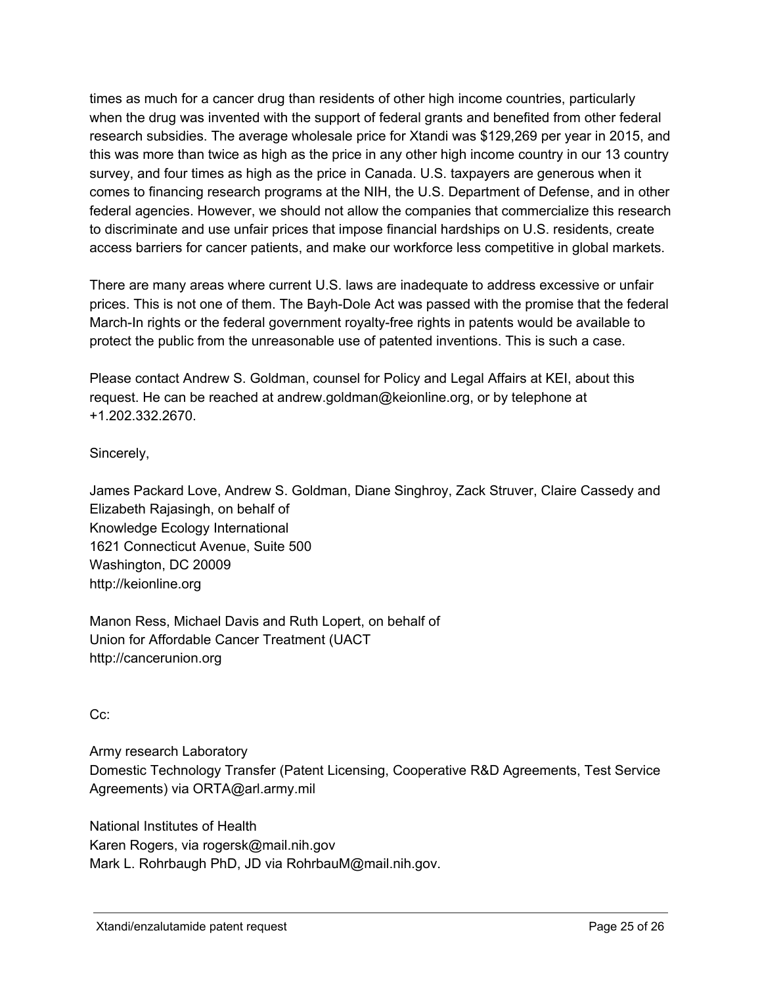times as much for a cancer drug than residents of other high income countries, particularly when the drug was invented with the support of federal grants and benefited from other federal research subsidies. The average wholesale price for Xtandi was \$129,269 per year in 2015, and this was more than twice as high as the price in any other high income country in our 13 country survey, and four times as high as the price in Canada. U.S. taxpayers are generous when it comes to financing research programs at the NIH, the U.S. Department of Defense, and in other federal agencies. However, we should not allow the companies that commercialize this research to discriminate and use unfair prices that impose financial hardships on U.S. residents, create access barriers for cancer patients, and make our workforce less competitive in global markets.

There are many areas where current U.S. laws are inadequate to address excessive or unfair prices. This is not one of them. The Bayh-Dole Act was passed with the promise that the federal March-In rights or the federal government royalty-free rights in patents would be available to protect the public from the unreasonable use of patented inventions. This is such a case.

Please contact Andrew S. Goldman, counsel for Policy and Legal Affairs at KEI, about this request. He can be reached at andrew.goldman@keionline.org, or by telephone at +1.202.332.2670.

Sincerely,

James Packard Love, Andrew S. Goldman, Diane Singhroy, Zack Struver, Claire Cassedy and Elizabeth Rajasingh, on behalf of Knowledge Ecology International 1621 Connecticut Avenue, Suite 500 Washington, DC 20009 http://keionline.org

Manon Ress, Michael Davis and Ruth Lopert, on behalf of Union for Affordable Cancer Treatment (UACT http://cancerunion.org

Cc:

Army research Laboratory Domestic Technology Transfer (Patent Licensing, Cooperative R&D Agreements, Test Service Agreements) via ORTA@arl.army.mil

National Institutes of Health Karen Rogers, via rogersk@mail.nih.gov Mark L. Rohrbaugh PhD, JD via RohrbauM@mail.nih.gov.